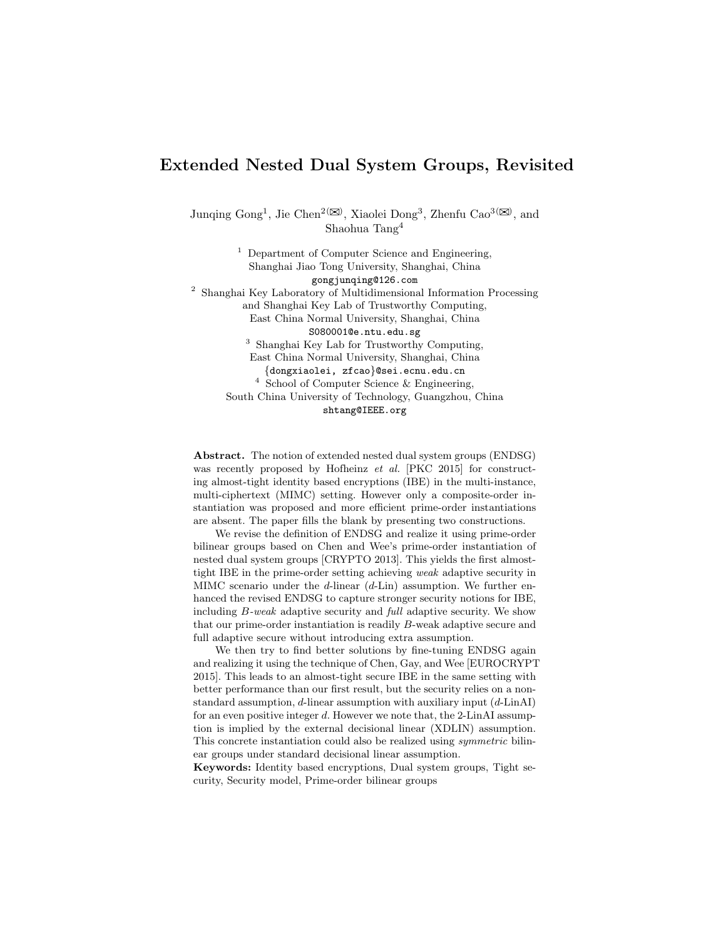# Extended Nested Dual System Groups, Revisited

Junqing Gong<sup>1</sup>, Jie Chen<sup>2( $\boxtimes$ )</sup>, Xiaolei Dong<sup>3</sup>, Zhenfu Cao<sup>3( $\boxtimes$ )</sup>, and Shaohua Tang<sup>4</sup>

 $<sup>1</sup>$  Department of Computer Science and Engineering,</sup> Shanghai Jiao Tong University, Shanghai, China gongjunqing@126.com  $^{\rm 2}$ Shanghai Key Laboratory of Multidimensional Information Processing and Shanghai Key Lab of Trustworthy Computing, East China Normal University, Shanghai, China S080001@e.ntu.edu.sg <sup>3</sup> Shanghai Key Lab for Trustworthy Computing, East China Normal University, Shanghai, China {dongxiaolei, zfcao}@sei.ecnu.edu.cn <sup>4</sup> School of Computer Science & Engineering, South China University of Technology, Guangzhou, China shtang@IEEE.org

Abstract. The notion of extended nested dual system groups (ENDSG) was recently proposed by Hofheinz et al. [PKC 2015] for constructing almost-tight identity based encryptions (IBE) in the multi-instance, multi-ciphertext (MIMC) setting. However only a composite-order instantiation was proposed and more efficient prime-order instantiations are absent. The paper fills the blank by presenting two constructions.

We revise the definition of ENDSG and realize it using prime-order bilinear groups based on Chen and Wee's prime-order instantiation of nested dual system groups [CRYPTO 2013]. This yields the first almosttight IBE in the prime-order setting achieving weak adaptive security in MIMC scenario under the d-linear  $(d\text{-Lin})$  assumption. We further enhanced the revised ENDSG to capture stronger security notions for IBE, including B-weak adaptive security and full adaptive security. We show that our prime-order instantiation is readily B-weak adaptive secure and full adaptive secure without introducing extra assumption.

We then try to find better solutions by fine-tuning ENDSG again and realizing it using the technique of Chen, Gay, and Wee [EUROCRYPT 2015]. This leads to an almost-tight secure IBE in the same setting with better performance than our first result, but the security relies on a nonstandard assumption,  $d$ -linear assumption with auxiliary input  $(d$ -LinAI) for an even positive integer d. However we note that, the 2-LinAI assumption is implied by the external decisional linear (XDLIN) assumption. This concrete instantiation could also be realized using symmetric bilinear groups under standard decisional linear assumption.

Keywords: Identity based encryptions, Dual system groups, Tight security, Security model, Prime-order bilinear groups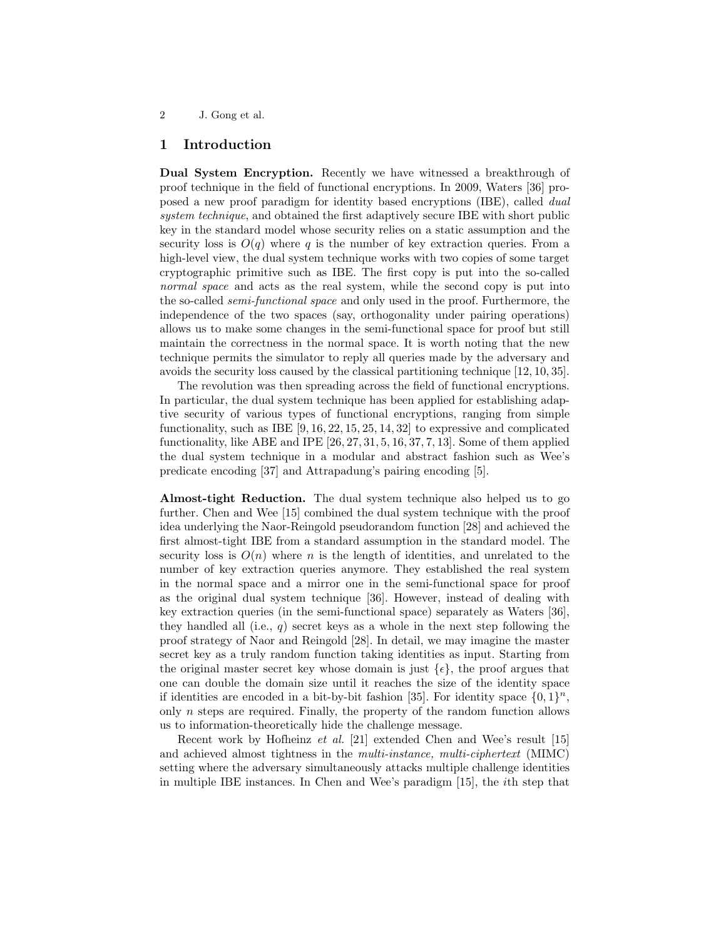# 1 Introduction

Dual System Encryption. Recently we have witnessed a breakthrough of proof technique in the field of functional encryptions. In 2009, Waters [36] proposed a new proof paradigm for identity based encryptions (IBE), called dual system technique, and obtained the first adaptively secure IBE with short public key in the standard model whose security relies on a static assumption and the security loss is  $O(q)$  where q is the number of key extraction queries. From a high-level view, the dual system technique works with two copies of some target cryptographic primitive such as IBE. The first copy is put into the so-called normal space and acts as the real system, while the second copy is put into the so-called semi-functional space and only used in the proof. Furthermore, the independence of the two spaces (say, orthogonality under pairing operations) allows us to make some changes in the semi-functional space for proof but still maintain the correctness in the normal space. It is worth noting that the new technique permits the simulator to reply all queries made by the adversary and avoids the security loss caused by the classical partitioning technique [12, 10, 35].

The revolution was then spreading across the field of functional encryptions. In particular, the dual system technique has been applied for establishing adaptive security of various types of functional encryptions, ranging from simple functionality, such as IBE  $[9, 16, 22, 15, 25, 14, 32]$  to expressive and complicated functionality, like ABE and IPE [26, 27, 31, 5, 16, 37, 7, 13]. Some of them applied the dual system technique in a modular and abstract fashion such as Wee's predicate encoding [37] and Attrapadung's pairing encoding [5].

Almost-tight Reduction. The dual system technique also helped us to go further. Chen and Wee [15] combined the dual system technique with the proof idea underlying the Naor-Reingold pseudorandom function [28] and achieved the first almost-tight IBE from a standard assumption in the standard model. The security loss is  $O(n)$  where n is the length of identities, and unrelated to the number of key extraction queries anymore. They established the real system in the normal space and a mirror one in the semi-functional space for proof as the original dual system technique [36]. However, instead of dealing with key extraction queries (in the semi-functional space) separately as Waters [36], they handled all (i.e.,  $q$ ) secret keys as a whole in the next step following the proof strategy of Naor and Reingold [28]. In detail, we may imagine the master secret key as a truly random function taking identities as input. Starting from the original master secret key whose domain is just  $\{\epsilon\}$ , the proof argues that one can double the domain size until it reaches the size of the identity space if identities are encoded in a bit-by-bit fashion [35]. For identity space  $\{0,1\}^n$ , only n steps are required. Finally, the property of the random function allows us to information-theoretically hide the challenge message.

Recent work by Hofheinz et al. [21] extended Chen and Wee's result [15] and achieved almost tightness in the multi-instance, multi-ciphertext (MIMC) setting where the adversary simultaneously attacks multiple challenge identities in multiple IBE instances. In Chen and Wee's paradigm [15], the ith step that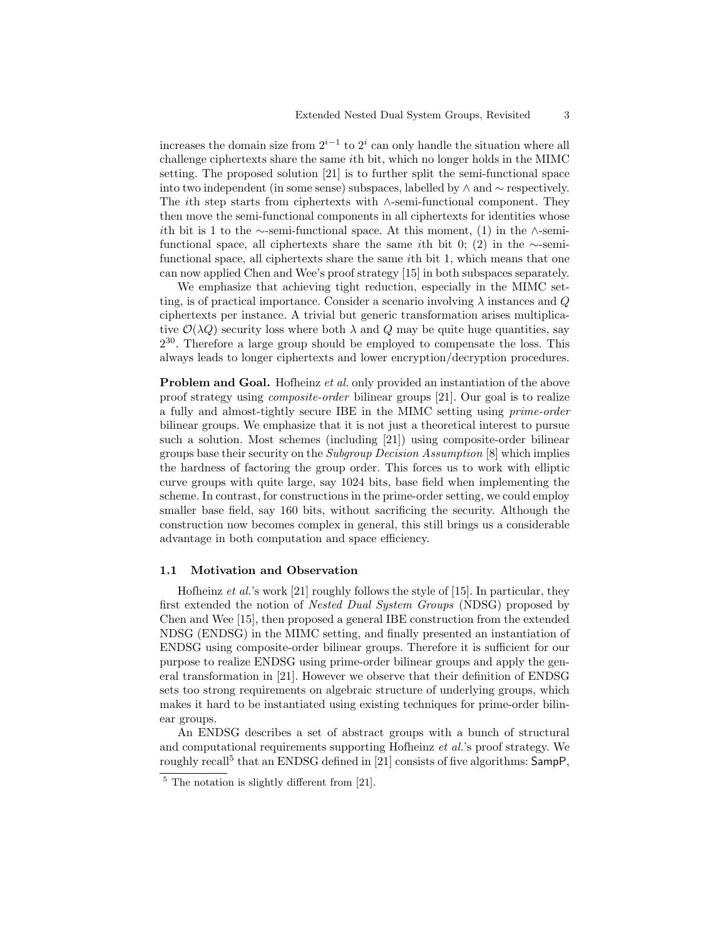increases the domain size from  $2^{i-1}$  to  $2^i$  can only handle the situation where all challenge ciphertexts share the same ith bit, which no longer holds in the MIMC setting. The proposed solution [21] is to further split the semi-functional space into two independent (in some sense) subspaces, labelled by  $\land$  and  $\sim$  respectively. The ith step starts from ciphertexts with ∧-semi-functional component. They then move the semi-functional components in all ciphertexts for identities whose ith bit is 1 to the ∼-semi-functional space. At this moment, (1) in the ∧-semifunctional space, all ciphertexts share the same *i*th bit 0; (2) in the ∼-semifunctional space, all ciphertexts share the same ith bit 1, which means that one can now applied Chen and Wee's proof strategy [15] in both subspaces separately.

We emphasize that achieving tight reduction, especially in the MIMC setting, is of practical importance. Consider a scenario involving  $\lambda$  instances and Q ciphertexts per instance. A trivial but generic transformation arises multiplicative  $\mathcal{O}(\lambda Q)$  security loss where both  $\lambda$  and  $Q$  may be quite huge quantities, say  $2^{30}$ . Therefore a large group should be employed to compensate the loss. This always leads to longer ciphertexts and lower encryption/decryption procedures.

Problem and Goal. Hofheinz et al. only provided an instantiation of the above proof strategy using composite-order bilinear groups [21]. Our goal is to realize a fully and almost-tightly secure IBE in the MIMC setting using prime-order bilinear groups. We emphasize that it is not just a theoretical interest to pursue such a solution. Most schemes (including [21]) using composite-order bilinear groups base their security on the Subgroup Decision Assumption [8] which implies the hardness of factoring the group order. This forces us to work with elliptic curve groups with quite large, say 1024 bits, base field when implementing the scheme. In contrast, for constructions in the prime-order setting, we could employ smaller base field, say 160 bits, without sacrificing the security. Although the construction now becomes complex in general, this still brings us a considerable advantage in both computation and space efficiency.

### 1.1 Motivation and Observation

Hofheinz et al.'s work [21] roughly follows the style of [15]. In particular, they first extended the notion of Nested Dual System Groups (NDSG) proposed by Chen and Wee [15], then proposed a general IBE construction from the extended NDSG (ENDSG) in the MIMC setting, and finally presented an instantiation of ENDSG using composite-order bilinear groups. Therefore it is sufficient for our purpose to realize ENDSG using prime-order bilinear groups and apply the general transformation in [21]. However we observe that their definition of ENDSG sets too strong requirements on algebraic structure of underlying groups, which makes it hard to be instantiated using existing techniques for prime-order bilinear groups.

An ENDSG describes a set of abstract groups with a bunch of structural and computational requirements supporting Hofheinz et al.'s proof strategy. We roughly recall<sup>5</sup> that an ENDSG defined in [21] consists of five algorithms: SampP,

 $\frac{5}{5}$  The notation is slightly different from [21].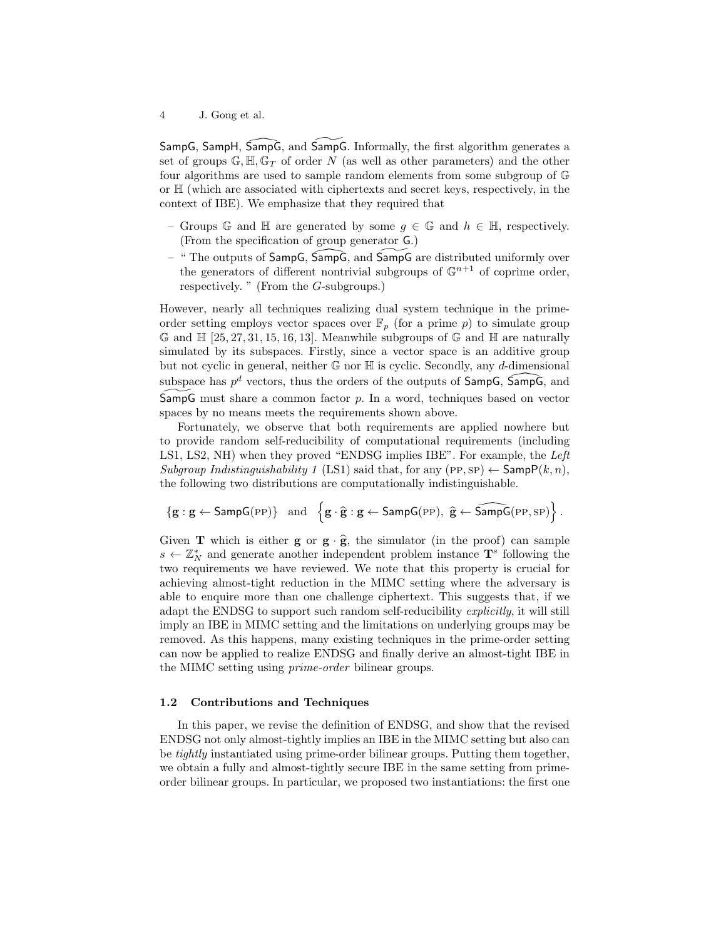SampG, SampH, SampG, and SampG. Informally, the first algorithm generates a set of groups  $\mathbb{G}, \mathbb{H}, \mathbb{G}_T$  of order N (as well as other parameters) and the other four algorithms are used to sample random elements from some subgroup of G or H (which are associated with ciphertexts and secret keys, respectively, in the context of IBE). We emphasize that they required that

- Groups G and H are generated by some  $g \in \mathbb{G}$  and  $h \in \mathbb{H}$ , respectively. (From the specification of group generator G.)
- $-$  " The outputs of SampG, SampG, and SampG are distributed uniformly over the generators of different nontrivial subgroups of  $\mathbb{G}^{n+1}$  of coprime order, respectively. " (From the G-subgroups.)

However, nearly all techniques realizing dual system technique in the primeorder setting employs vector spaces over  $\mathbb{F}_p$  (for a prime p) to simulate group  $\mathbb G$  and  $\mathbb H$  [25, 27, 31, 15, 16, 13]. Meanwhile subgroups of  $\mathbb G$  and  $\mathbb H$  are naturally simulated by its subspaces. Firstly, since a vector space is an additive group but not cyclic in general, neither  $\mathbb G$  nor  $\mathbb H$  is cyclic. Secondly, any d-dimensional subspace has  $p^d$  vectors, thus the orders of the outputs of SampG, SampG, and SampG must share a common factor  $p$ . In a word, techniques based on vector spaces by no means meets the requirements shown above.

Fortunately, we observe that both requirements are applied nowhere but to provide random self-reducibility of computational requirements (including LS1, LS2, NH) when they proved "ENDSG implies IBE". For example, the Left Subgroup Indistinguishability 1 (LS1) said that, for any  $(PP, SP) \leftarrow$  Samp $P(k, n)$ , the following two distributions are computationally indistinguishable.

$$
\left\{g: g \leftarrow \mathsf{SampG}(\mathtt{PP})\right\} \ \text{ and } \ \left\{g \cdot \widehat{g}: g \leftarrow \mathsf{SampG}(\mathtt{PP}), \ \widehat{g} \leftarrow \widehat{\mathsf{SampG}}(\mathtt{PP}, \mathtt{SP})\right\}.
$$

Given **T** which is either **g** or  $\mathbf{g} \cdot \hat{\mathbf{g}}$ , the simulator (in the proof) can sample  $s \leftarrow \mathbb{Z}_N^*$  and generate another independent problem instance  $\mathbf{T}^s$  following the two requirements we have reviewed. We note that this property is crucial for achieving almost-tight reduction in the MIMC setting where the adversary is able to enquire more than one challenge ciphertext. This suggests that, if we adapt the ENDSG to support such random self-reducibility explicitly, it will still imply an IBE in MIMC setting and the limitations on underlying groups may be removed. As this happens, many existing techniques in the prime-order setting can now be applied to realize ENDSG and finally derive an almost-tight IBE in the MIMC setting using prime-order bilinear groups.

### 1.2 Contributions and Techniques

In this paper, we revise the definition of ENDSG, and show that the revised ENDSG not only almost-tightly implies an IBE in the MIMC setting but also can be tightly instantiated using prime-order bilinear groups. Putting them together, we obtain a fully and almost-tightly secure IBE in the same setting from primeorder bilinear groups. In particular, we proposed two instantiations: the first one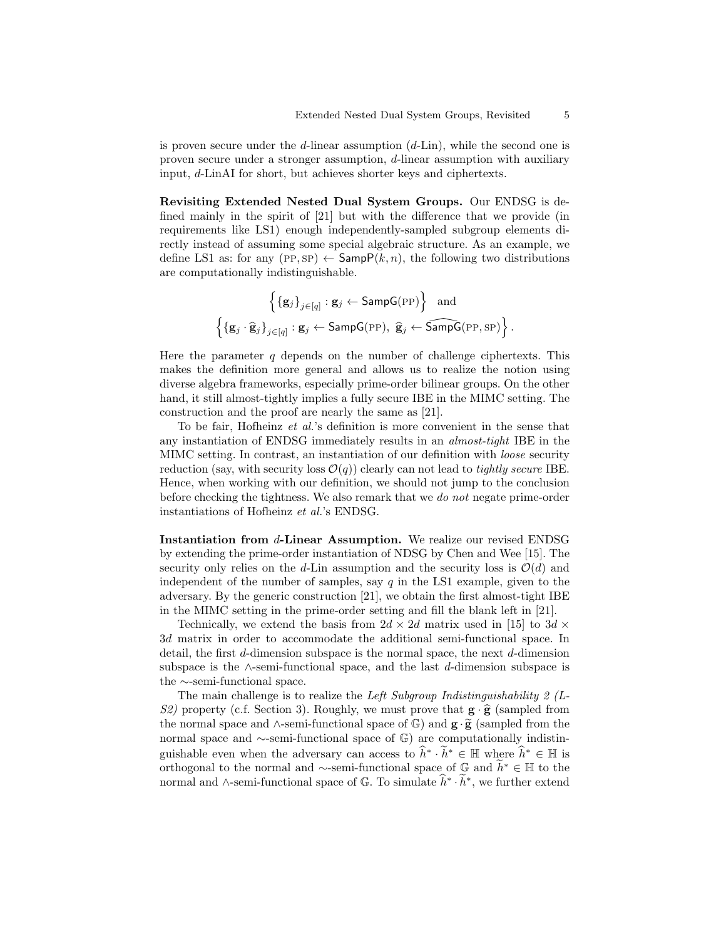is proven secure under the  $d$ -linear assumption  $(d$ -Lin), while the second one is proven secure under a stronger assumption, d-linear assumption with auxiliary input, d-LinAI for short, but achieves shorter keys and ciphertexts.

Revisiting Extended Nested Dual System Groups. Our ENDSG is defined mainly in the spirit of [21] but with the difference that we provide (in requirements like LS1) enough independently-sampled subgroup elements directly instead of assuming some special algebraic structure. As an example, we define LS1 as: for any  $(PP, SP) \leftarrow$  Samp $P(k, n)$ , the following two distributions are computationally indistinguishable.

$$
\left\{ \{\mathbf{g}_j\}_{j \in [q]} : \mathbf{g}_j \leftarrow \mathsf{SampG}(\text{PP}) \right\} \text{ and}
$$

$$
\left\{ \{\mathbf{g}_j \cdot \hat{\mathbf{g}}_j\}_{j \in [q]} : \mathbf{g}_j \leftarrow \mathsf{SampG}(\text{PP}), \ \hat{\mathbf{g}}_j \leftarrow \widehat{\mathsf{SampG}}(\text{PP}, \text{SP}) \right\}.
$$

Here the parameter  $q$  depends on the number of challenge ciphertexts. This makes the definition more general and allows us to realize the notion using diverse algebra frameworks, especially prime-order bilinear groups. On the other hand, it still almost-tightly implies a fully secure IBE in the MIMC setting. The construction and the proof are nearly the same as [21].

To be fair, Hofheinz et al.'s definition is more convenient in the sense that any instantiation of ENDSG immediately results in an almost-tight IBE in the MIMC setting. In contrast, an instantiation of our definition with loose security reduction (say, with security loss  $\mathcal{O}(q)$ ) clearly can not lead to *tightly secure* IBE. Hence, when working with our definition, we should not jump to the conclusion before checking the tightness. We also remark that we do not negate prime-order instantiations of Hofheinz et al.'s ENDSG.

Instantiation from d-Linear Assumption. We realize our revised ENDSG by extending the prime-order instantiation of NDSG by Chen and Wee [15]. The security only relies on the d-Lin assumption and the security loss is  $\mathcal{O}(d)$  and independent of the number of samples, say  $q$  in the LS1 example, given to the adversary. By the generic construction [21], we obtain the first almost-tight IBE in the MIMC setting in the prime-order setting and fill the blank left in [21].

Technically, we extend the basis from  $2d \times 2d$  matrix used in [15] to  $3d \times$ 3d matrix in order to accommodate the additional semi-functional space. In detail, the first d-dimension subspace is the normal space, the next d-dimension subspace is the  $\land$ -semi-functional space, and the last d-dimension subspace is the ∼-semi-functional space.

The main challenge is to realize the *Left Subgroup Indistinguishability 2 (L-*S2) property (c.f. Section 3). Roughly, we must prove that  $\mathbf{g} \cdot \hat{\mathbf{g}}$  (sampled from the normal space and  $\wedge$ -semi-functional space of  $\mathbb{G}$ ) and  $\mathbf{g} \cdot \widetilde{\mathbf{g}}$  (sampled from the normal space and ∼-semi-functional space of G) are computationally indistinguishable even when the adversary can access to  $\hat{h}^* \cdot \tilde{h}^* \in \mathbb{H}$  where  $\hat{h}^* \in \mathbb{H}$  is orthogonal to the normal and ∼-semi-functional space of  $\mathbb{G}$  and  $\widetilde{h}^* \in \mathbb{H}$  to the normal and ∧-semi-functional space of  $\mathbb{G}$ . To simulate  $\hat{h}^* \cdot \tilde{h}^*$ , we further extend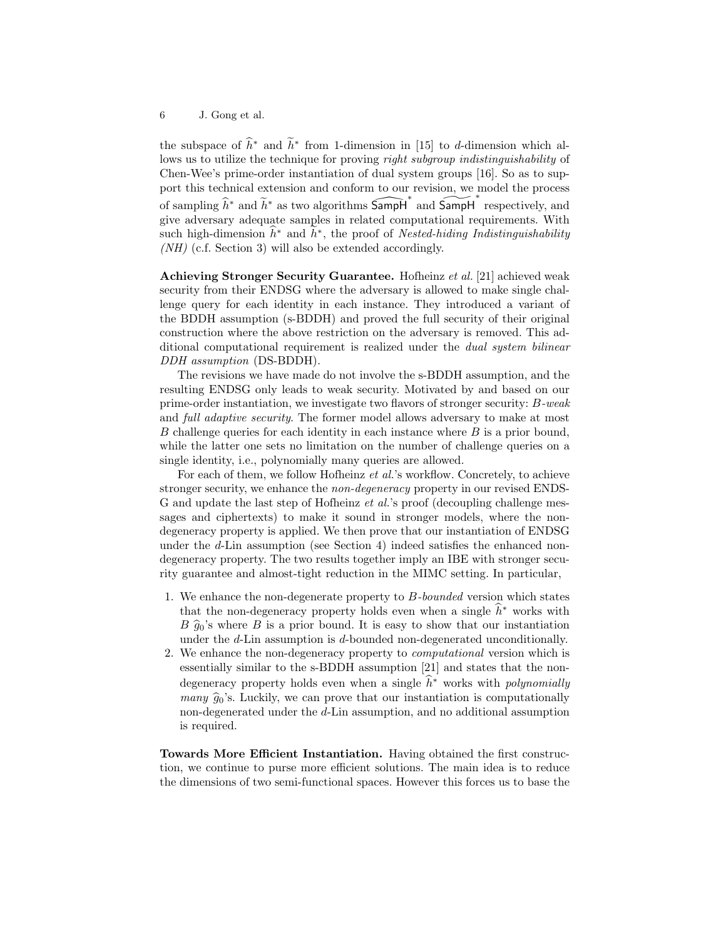the subspace of  $\hat{h}^*$  and  $\hat{h}^*$  from 1-dimension in [15] to d-dimension which allows us to utilize the technique for proving *right subgroup indistinguishability* of Chen-Wee's prime-order instantiation of dual system groups [16]. So as to support this technical extension and conform to our revision, we model the process of sampling  $\widehat{h}^*$  and  $\widetilde{h}^*$  as two algorithms  $\widehat{\mathsf{SampH}}^*$  and  $\widehat{\mathsf{SampH}}^*$  respectively, and give adversary adequate samples in related computational requirements. With such high-dimension  $\hat{h}^*$  and  $\hat{h}^*$ , the proof of Nested-hiding Indistinguishability (NH) (c.f. Section 3) will also be extended accordingly.

Achieving Stronger Security Guarantee. Hofheinz et al. [21] achieved weak security from their ENDSG where the adversary is allowed to make single challenge query for each identity in each instance. They introduced a variant of the BDDH assumption (s-BDDH) and proved the full security of their original construction where the above restriction on the adversary is removed. This additional computational requirement is realized under the dual system bilinear DDH assumption (DS-BDDH).

The revisions we have made do not involve the s-BDDH assumption, and the resulting ENDSG only leads to weak security. Motivated by and based on our prime-order instantiation, we investigate two flavors of stronger security: B-weak and full adaptive security. The former model allows adversary to make at most B challenge queries for each identity in each instance where  $B$  is a prior bound, while the latter one sets no limitation on the number of challenge queries on a single identity, i.e., polynomially many queries are allowed.

For each of them, we follow Hofheinz et al.'s workflow. Concretely, to achieve stronger security, we enhance the *non-degeneracy* property in our revised ENDS-G and update the last step of Hofheinz et al.'s proof (decoupling challenge messages and ciphertexts) to make it sound in stronger models, where the nondegeneracy property is applied. We then prove that our instantiation of ENDSG under the d-Lin assumption (see Section 4) indeed satisfies the enhanced nondegeneracy property. The two results together imply an IBE with stronger security guarantee and almost-tight reduction in the MIMC setting. In particular,

- 1. We enhance the non-degenerate property to  $B$ -bounded version which states that the non-degeneracy property holds even when a single  $\hat{h}^*$  works with  $B \hat{g}_0$ 's where B is a prior bound. It is easy to show that our instantiation under the d-Lin assumption is d-bounded non-degenerated unconditionally.
- 2. We enhance the non-degeneracy property to computational version which is essentially similar to the s-BDDH assumption [21] and states that the nondegeneracy property holds even when a single  $\hat{h}^*$  works with *polynomially many*  $\hat{g}_0$ 's. Luckily, we can prove that our instantiation is computationally non-degenerated under the d-Lin assumption, and no additional assumption is required.

Towards More Efficient Instantiation. Having obtained the first construction, we continue to purse more efficient solutions. The main idea is to reduce the dimensions of two semi-functional spaces. However this forces us to base the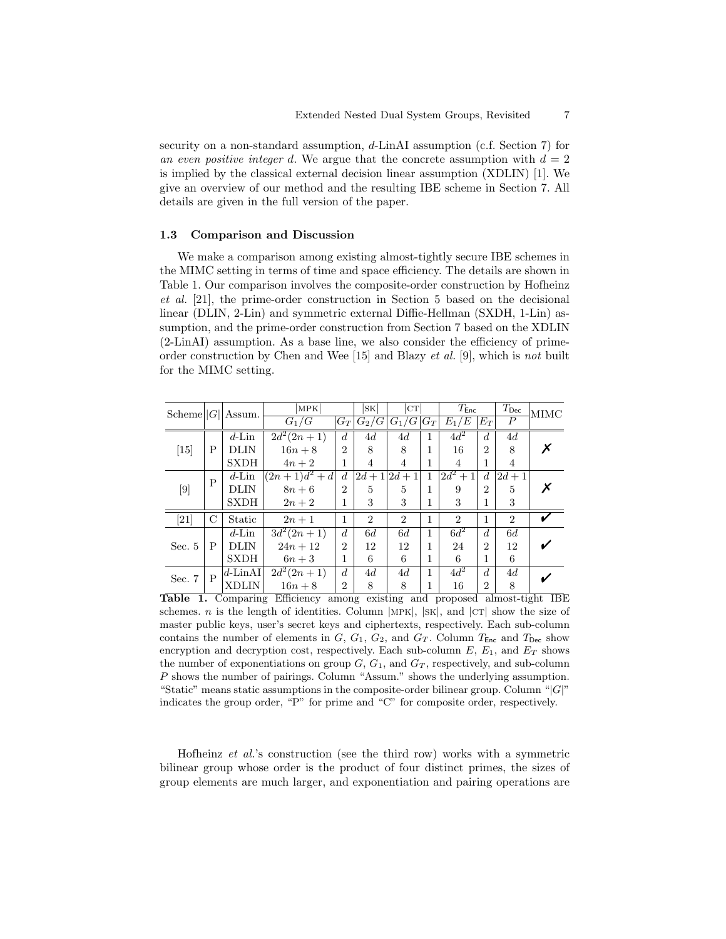security on a non-standard assumption, d-LinAI assumption (c.f. Section 7) for an even positive integer d. We argue that the concrete assumption with  $d = 2$ is implied by the classical external decision linear assumption (XDLIN) [1]. We give an overview of our method and the resulting IBE scheme in Section 7. All details are given in the full version of the paper.

#### 1.3 Comparison and Discussion

We make a comparison among existing almost-tightly secure IBE schemes in the MIMC setting in terms of time and space efficiency. The details are shown in Table 1. Our comparison involves the composite-order construction by Hofheinz et al. [21], the prime-order construction in Section 5 based on the decisional linear (DLIN, 2-Lin) and symmetric external Diffie-Hellman (SXDH, 1-Lin) assumption, and the prime-order construction from Section 7 based on the XDLIN (2-LinAI) assumption. As a base line, we also consider the efficiency of primeorder construction by Chen and Wee  $|15|$  and Blazy *et al.* [9], which is not built for the MIMC setting.

| Scheme $  G  $ |              | Assum.             | MPK<br>$G_1/G$         |                | SK <br>$ G_T \bar{G}_2/G $ | CT.<br>$G_1/\overline{G}$ $G_T$ |              | $T_{\mathsf{Enc}}$<br>$E_1/E$ | $E_T$          | $T_{\mathsf{Dec}}$<br>$\boldsymbol{P}$ | <b>MIMC</b> |
|----------------|--------------|--------------------|------------------------|----------------|----------------------------|---------------------------------|--------------|-------------------------------|----------------|----------------------------------------|-------------|
| [15]           | P            | $d$ -Lin           | $\frac{2d^2(2n+1)}{2}$ | $d_{\cdot}$    | 4d                         | 4d                              | $\mathbf{1}$ | $4d^2$                        | d              | 4d                                     |             |
|                |              | DLIN               | $16n + 8$              | $\overline{2}$ | 8                          | 8                               | 1            | 16                            | $\overline{2}$ | 8                                      |             |
|                |              | <b>SXDH</b>        | $4n+2$                 | 1              | 4                          | $\overline{4}$                  | 1            | 4                             | 1              | 4                                      |             |
| [9]            | $\mathsf{P}$ | $d$ -Lin           | $(2n+1)d^2 + d$        | d              | $ 2d+1 2d+1$               |                                 | $\mathbf{1}$ | $ 2\overline{d^2+1} $         | $\overline{d}$ | $2d + 1$                               |             |
|                |              | <b>DLIN</b>        | $8n+6$                 | $\overline{2}$ | 5                          | 5                               | 1            | 9                             | $\overline{2}$ | 5                                      |             |
|                |              | <b>SXDH</b>        | $2n+2$                 | 1              | 3                          | 3                               | 1            | 3                             | 1              | 3                                      |             |
| $[21]$         | С            | Static             | $2n+1$                 | 1              | $\overline{2}$             | $\mathfrak{D}$                  | 1            | $\mathfrak{D}$                | 1              | $\mathcal{D}_{\mathcal{L}}$            |             |
| Sec. $5$       | P            | $d$ -Lin           | $\frac{3d^2(2n+1)}{2}$ | d              | 6d                         | 6d                              | 1            | $6d^2$                        | $\overline{d}$ | 6 d                                    |             |
|                |              | DLIN               | $24n + 12$             | $\overline{2}$ | 12                         | 12                              | 1            | 24                            | $\overline{2}$ | 12                                     |             |
|                |              | <b>SXDH</b>        | $6n+3$                 | 1              | 6                          | 6                               | 1            | 6                             | 1              | 6                                      |             |
| Sec. $7$       | $\mathbf{P}$ | $ d\text{-LinAI} $ | $2d^2(2n+1)$           | $d_{i}$        | 4d                         | 4d                              | 1            | $4d^2$                        | d              | 4d                                     |             |
|                |              | XDLIN              | $16n + 8$              | $\overline{2}$ | 8                          | 8                               | 1            | 16                            | $\overline{2}$ | 8                                      |             |

Table 1. Comparing Efficiency among existing and proposed almost-tight IBE schemes. n is the length of identities. Column  $|MPK|$ ,  $|SK|$ , and  $|CT|$  show the size of master public keys, user's secret keys and ciphertexts, respectively. Each sub-column contains the number of elements in  $G, G_1, G_2$ , and  $G_T$ . Column  $T_{\text{Enc}}$  and  $T_{\text{Dec}}$  show encryption and decryption cost, respectively. Each sub-column  $E, E_1$ , and  $E_T$  shows the number of exponentiations on group  $G, G_1$ , and  $G_T$ , respectively, and sub-column P shows the number of pairings. Column "Assum." shows the underlying assumption. "Static" means static assumptions in the composite-order bilinear group. Column "|G|" indicates the group order, "P" for prime and "C" for composite order, respectively.

Hofheinz et al.'s construction (see the third row) works with a symmetric bilinear group whose order is the product of four distinct primes, the sizes of group elements are much larger, and exponentiation and pairing operations are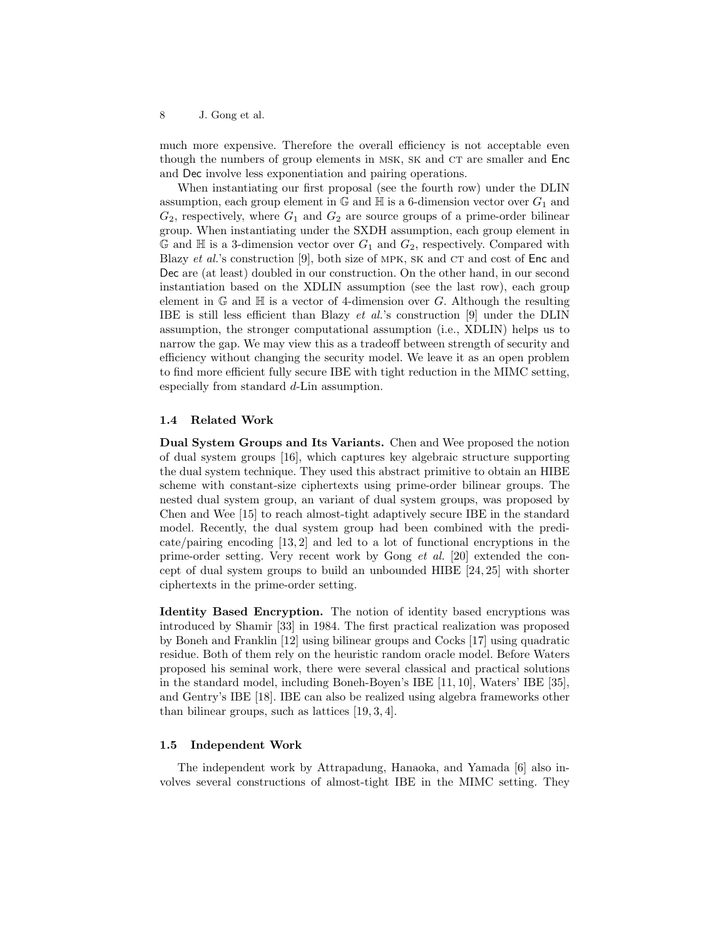much more expensive. Therefore the overall efficiency is not acceptable even though the numbers of group elements in MSK, SK and CT are smaller and Enc and Dec involve less exponentiation and pairing operations.

When instantiating our first proposal (see the fourth row) under the DLIN assumption, each group element in  $\mathbb{G}$  and  $\mathbb{H}$  is a 6-dimension vector over  $G_1$  and  $G_2$ , respectively, where  $G_1$  and  $G_2$  are source groups of a prime-order bilinear group. When instantiating under the SXDH assumption, each group element in  $\mathbb G$  and  $\mathbb H$  is a 3-dimension vector over  $G_1$  and  $G_2$ , respectively. Compared with Blazy *et al.*'s construction [9], both size of MPK, SK and CT and cost of  $Enc$  and Dec are (at least) doubled in our construction. On the other hand, in our second instantiation based on the XDLIN assumption (see the last row), each group element in  $\mathbb{G}$  and  $\mathbb{H}$  is a vector of 4-dimension over G. Although the resulting IBE is still less efficient than Blazy et al.'s construction [9] under the DLIN assumption, the stronger computational assumption (i.e., XDLIN) helps us to narrow the gap. We may view this as a tradeoff between strength of security and efficiency without changing the security model. We leave it as an open problem to find more efficient fully secure IBE with tight reduction in the MIMC setting, especially from standard d-Lin assumption.

### 1.4 Related Work

Dual System Groups and Its Variants. Chen and Wee proposed the notion of dual system groups [16], which captures key algebraic structure supporting the dual system technique. They used this abstract primitive to obtain an HIBE scheme with constant-size ciphertexts using prime-order bilinear groups. The nested dual system group, an variant of dual system groups, was proposed by Chen and Wee [15] to reach almost-tight adaptively secure IBE in the standard model. Recently, the dual system group had been combined with the predicate/pairing encoding [13, 2] and led to a lot of functional encryptions in the prime-order setting. Very recent work by Gong et al. [20] extended the concept of dual system groups to build an unbounded HIBE [24, 25] with shorter ciphertexts in the prime-order setting.

Identity Based Encryption. The notion of identity based encryptions was introduced by Shamir [33] in 1984. The first practical realization was proposed by Boneh and Franklin [12] using bilinear groups and Cocks [17] using quadratic residue. Both of them rely on the heuristic random oracle model. Before Waters proposed his seminal work, there were several classical and practical solutions in the standard model, including Boneh-Boyen's IBE [11, 10], Waters' IBE [35], and Gentry's IBE [18]. IBE can also be realized using algebra frameworks other than bilinear groups, such as lattices [19, 3, 4].

### 1.5 Independent Work

The independent work by Attrapadung, Hanaoka, and Yamada [6] also involves several constructions of almost-tight IBE in the MIMC setting. They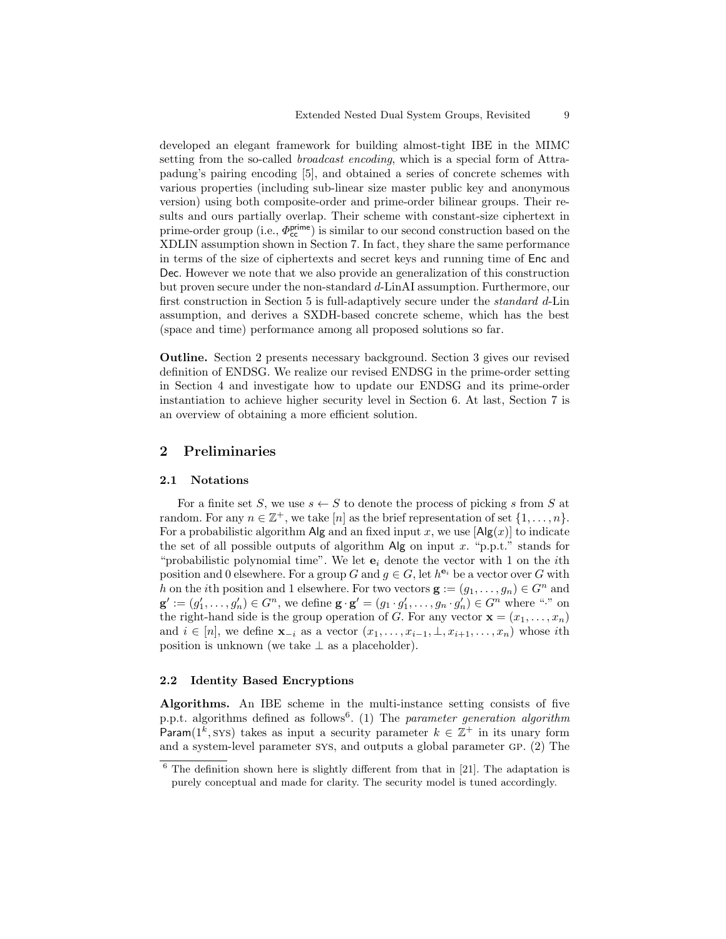developed an elegant framework for building almost-tight IBE in the MIMC setting from the so-called *broadcast encoding*, which is a special form of Attrapadung's pairing encoding [5], and obtained a series of concrete schemes with various properties (including sub-linear size master public key and anonymous version) using both composite-order and prime-order bilinear groups. Their results and ours partially overlap. Their scheme with constant-size ciphertext in prime-order group (i.e.,  $\Phi_{cc}^{prime}$ ) is similar to our second construction based on the XDLIN assumption shown in Section 7. In fact, they share the same performance in terms of the size of ciphertexts and secret keys and running time of Enc and Dec. However we note that we also provide an generalization of this construction but proven secure under the non-standard d-LinAI assumption. Furthermore, our first construction in Section 5 is full-adaptively secure under the standard d-Lin assumption, and derives a SXDH-based concrete scheme, which has the best (space and time) performance among all proposed solutions so far.

Outline. Section 2 presents necessary background. Section 3 gives our revised definition of ENDSG. We realize our revised ENDSG in the prime-order setting in Section 4 and investigate how to update our ENDSG and its prime-order instantiation to achieve higher security level in Section 6. At last, Section 7 is an overview of obtaining a more efficient solution.

# 2 Preliminaries

#### 2.1 Notations

For a finite set S, we use  $s \leftarrow S$  to denote the process of picking s from S at random. For any  $n \in \mathbb{Z}^+$ , we take  $[n]$  as the brief representation of set  $\{1, \ldots, n\}$ . For a probabilistic algorithm Alg and an fixed input x, we use  $\left[\text{Alg}(x)\right]$  to indicate the set of all possible outputs of algorithm  $\mathsf{Alg}$  on input x. "p.p.t." stands for "probabilistic polynomial time". We let  $e_i$  denote the vector with 1 on the *i*th position and 0 elsewhere. For a group G and  $g \in G$ , let  $h^{\mathbf{e}_i}$  be a vector over G with h on the *i*th position and 1 elsewhere. For two vectors  $\mathbf{g} := (g_1, \ldots, g_n) \in G^n$  and  $\mathbf{g}' := (g'_1, \ldots, g'_n) \in G^n$ , we define  $\mathbf{g} \cdot \mathbf{g}' = (g_1 \cdot g'_1, \ldots, g_n \cdot g'_n) \in G^n$  where "." on the right-hand side is the group operation of G. For any vector  $\mathbf{x} = (x_1, \ldots, x_n)$ and  $i \in [n]$ , we define  $\mathbf{x}_{-i}$  as a vector  $(x_1, \ldots, x_{i-1}, \perp, x_{i+1}, \ldots, x_n)$  whose ith position is unknown (we take  $\perp$  as a placeholder).

#### 2.2 Identity Based Encryptions

Algorithms. An IBE scheme in the multi-instance setting consists of five p.p.t. algorithms defined as follows<sup>6</sup>. (1) The parameter generation algorithm Param( $1^k$ , sys) takes as input a security parameter  $k \in \mathbb{Z}^+$  in its unary form and a system-level parameter sys, and outputs a global parameter gp. (2) The

 $6$  The definition shown here is slightly different from that in [21]. The adaptation is purely conceptual and made for clarity. The security model is tuned accordingly.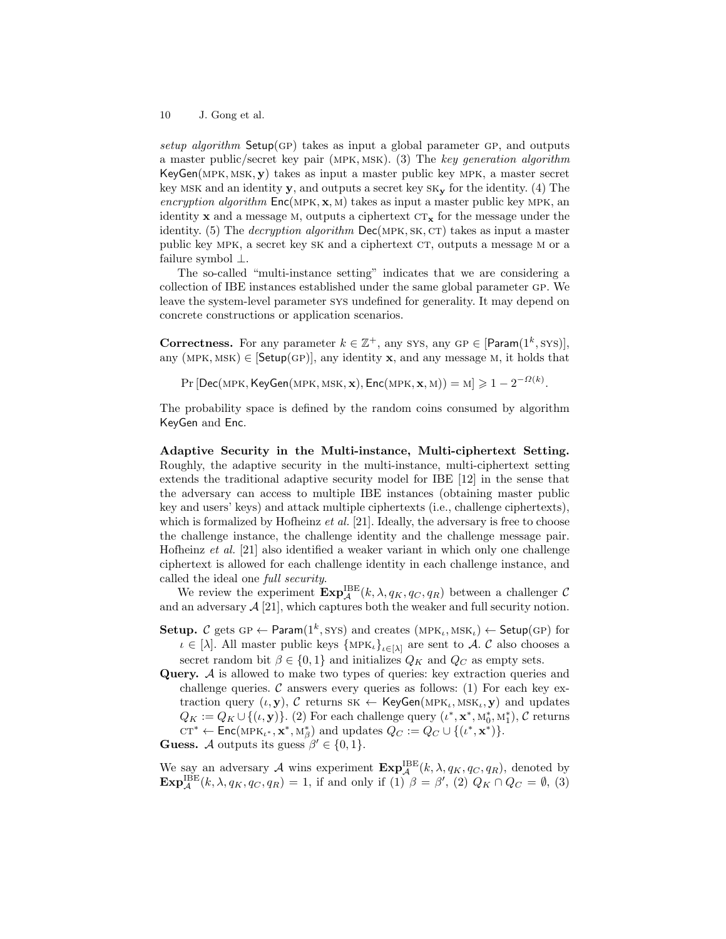setup algorithm Setup(GP) takes as input a global parameter GP, and outputs a master public/secret key pair (mpk, msk). (3) The key generation algorithm  $KeyGen(MPK, MSK, y)$  takes as input a master public key MPK, a master secret key MSK and an identity  $\mathbf{y}$ , and outputs a secret key  $\mathbf{S}\mathbf{K}_{\mathbf{y}}$  for the identity. (4) The encryption algorithm  $Enc(MPK, x, M)$  takes as input a master public key MPK, an identity x and a message M, outputs a ciphertext  $CT_x$  for the message under the identity. (5) The *decryption algorithm*  $Dec(MPK, SK, CT)$  takes as input a master public key MPK, a secret key SK and a ciphertext CT, outputs a message M or a failure symbol ⊥.

The so-called "multi-instance setting" indicates that we are considering a collection of IBE instances established under the same global parameter gp. We leave the system-level parameter sys undefined for generality. It may depend on concrete constructions or application scenarios.

**Correctness.** For any parameter  $k \in \mathbb{Z}^+$ , any sys, any GP  $\in$  [Param(1<sup>k</sup>, sys)], any (MPK, MSK)  $\in$  [Setup(GP)], any identity x, and any message M, it holds that

 $\Pr\left[\mathsf{Dec}(\mathsf{MPK},\mathsf{KeyGen}(\mathsf{MPK},\mathsf{MSK},\mathbf{x}), \mathsf{Enc}(\mathsf{MPK},\mathbf{x},\mathsf{M}))= \mathsf{M}\right] \geqslant 1-2^{-\varOmega(k)}.$ 

The probability space is defined by the random coins consumed by algorithm KeyGen and Enc.

Adaptive Security in the Multi-instance, Multi-ciphertext Setting. Roughly, the adaptive security in the multi-instance, multi-ciphertext setting extends the traditional adaptive security model for IBE [12] in the sense that the adversary can access to multiple IBE instances (obtaining master public key and users' keys) and attack multiple ciphertexts (i.e., challenge ciphertexts), which is formalized by Hofheinz  $et al. [21]$ . Ideally, the adversary is free to choose the challenge instance, the challenge identity and the challenge message pair. Hofheinz et al. [21] also identified a weaker variant in which only one challenge ciphertext is allowed for each challenge identity in each challenge instance, and called the ideal one full security.

We review the experiment  $\mathbf{Exp}^{\mathrm{IBE}}_{\mathcal{A}}(k, \lambda, q_K, q_C, q_R)$  between a challenger  $\mathcal{C}$ and an adversary  $\mathcal{A}$  [21], which captures both the weaker and full security notion.

- Setup. C gets GP  $\leftarrow$  Param $(1^k,$  SYS) and creates  $(MPK_k, MSK_k) \leftarrow$  Setup(GP) for  $\iota \in [\lambda]$ . All master public keys  $\{MPK_{\iota}\}_{{\iota \in [\lambda]}}$  are sent to A. C also chooses a secret random bit  $\beta \in \{0,1\}$  and initializes  $Q_K$  and  $Q_C$  as empty sets.
- Query. A is allowed to make two types of queries: key extraction queries and challenge queries. C answers every queries as follows:  $(1)$  For each key extraction query  $(\iota, \mathbf{y}), C$  returns  $SK \leftarrow \mathsf{KeyGen}(MPK_{\iota}, MSK_{\iota}, \mathbf{y})$  and updates  $Q_K := Q_K \cup \{(t, y)\}.$  (2) For each challenge query  $(\iota^*, \mathbf{x}^*, \mathbf{M}_0^*, \mathbf{M}_1^*), C$  returns  $\mathrm{CT}^* \leftarrow \mathsf{Enc}(\mathrm{MPK}_{\iota^*}, \mathbf{x}^*, \mathbf{M}_{\beta}^*)$  and updates  $Q_C := Q_C \cup \{(\iota^*, \mathbf{x}^*)\}.$

**Guess.** A outputs its guess  $\beta' \in \{0, 1\}.$ 

We say an adversary A wins experiment  $\mathbf{Exp}^{\text{IBE}}_{\mathcal{A}}(k, \lambda, q_K, q_C, q_R)$ , denoted by  $\mathbf{Exp}_{\mathcal{A}}^{\text{IBE}}(k, \lambda, q_K, q_C, q_R) = 1$ , if and only if (1)  $\beta = \beta'$ , (2)  $Q_K \cap Q_C = \emptyset$ , (3)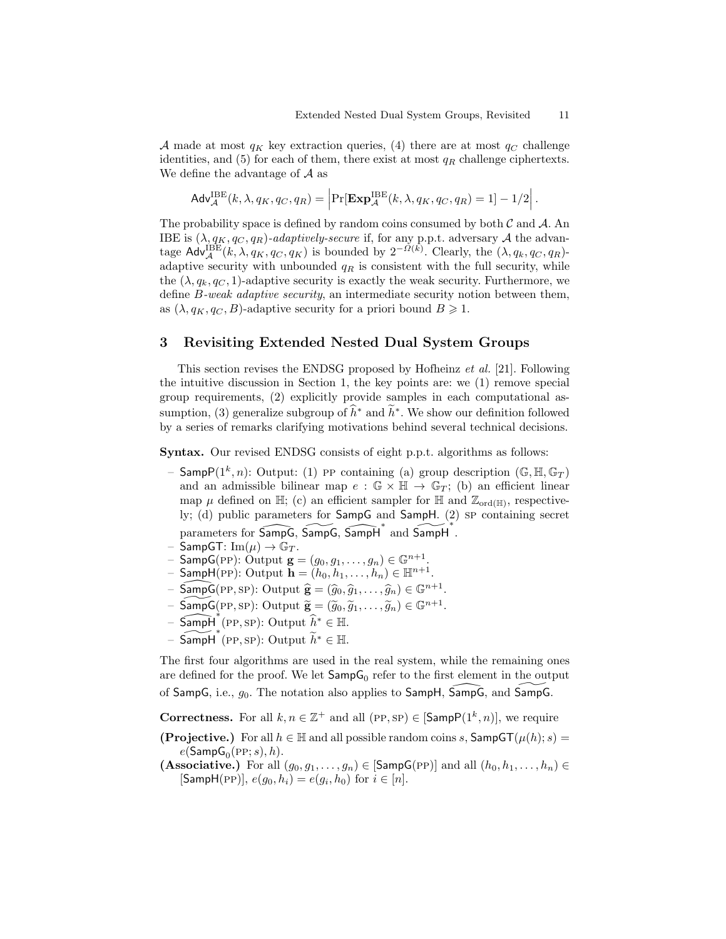A made at most  $q_K$  key extraction queries, (4) there are at most  $q_C$  challenge identities, and (5) for each of them, there exist at most  $q_R$  challenge ciphertexts. We define the advantage of  $A$  as

$$
\mathsf{Adv}_{\mathcal{A}}^{\mathrm{IBE}}(k, \lambda, q_K, q_C, q_R) = \left| \Pr[\mathbf{Exp}_{\mathcal{A}}^{\mathrm{IBE}}(k, \lambda, q_K, q_C, q_R) = 1] - 1/2 \right|.
$$

The probability space is defined by random coins consumed by both  $\mathcal C$  and  $\mathcal A$ . An IBE is  $(\lambda, q_K, q_C, q_R)$ -adaptively-secure if, for any p.p.t. adversary A the advantage  $\text{Adv}_{\mathcal{A}}^{\text{BEE}}(k, \lambda, q_K, q_C, q_K)$  is bounded by  $2^{-\Omega(k)}$ . Clearly, the  $(\lambda, q_k, q_C, q_R)$ adaptive security with unbounded  $q_R$  is consistent with the full security, while the  $(\lambda, q_k, q_c, 1)$ -adaptive security is exactly the weak security. Furthermore, we define *B*-weak adaptive security, an intermediate security notion between them, as  $(\lambda, q_K, q_C, B)$ -adaptive security for a priori bound  $B \geq 1$ .

## 3 Revisiting Extended Nested Dual System Groups

This section revises the ENDSG proposed by Hofheinz et al. [21]. Following the intuitive discussion in Section 1, the key points are: we (1) remove special group requirements, (2) explicitly provide samples in each computational assumption, (3) generalize subgroup of  $\hat{h}^*$  and  $\hat{h}^*$ . We show our definition followed by a series of remarks clarifying motivations behind several technical decisions.

Syntax. Our revised ENDSG consists of eight p.p.t. algorithms as follows:

- Samp $P(1^k, n)$ : Output: (1) PP containing (a) group description  $(\mathbb{G}, \mathbb{H}, \mathbb{G}_T)$ and an admissible bilinear map  $e : \mathbb{G} \times \mathbb{H} \to \mathbb{G}_T$ ; (b) an efficient linear map  $\mu$  defined on H; (c) an efficient sampler for H and  $\mathbb{Z}_{\text{ord}(H)}$ , respectively; (d) public parameters for SampG and SampH. (2) sp containing secret parameters for  $\widehat{\mathsf{SampG}}, \widehat{\mathsf{SampG}}, \widehat{\mathsf{SampH}}^*$  and  $\widehat{\mathsf{SampH}}^*$ .
- SampGT:  $\text{Im}(\mu) \rightarrow \mathbb{G}_T$ .
- Samp $G(\text{PP})$ : Output  $\mathbf{g} = (g_0, g_1, \dots, g_n) \in \mathbb{G}^{n+1}$ .
- $-$  SampH(PP): Output  $\mathbf{h} = (h_0, h_1, \ldots, h_n) \in \mathbb{H}^{n+1}$ .
- SampG(PP, SP): Output  $\hat{\mathbf{g}} = (\hat{g}_0, \hat{g}_1, \dots, \hat{g}_n) \in \mathbb{G}^{n+1}$ .
- $-\overline{\mathsf{SampG}}(\text{PP}, \text{SP})$ : Output  $\widetilde{\mathbf{g}} = (\widetilde{g}_0, \widetilde{g}_1, \dots, \widetilde{g}_n) \in \mathbb{G}^{n+1}$ .
- $-$  Samp $H \leftrightarrow$ <sup>\*</sup>(PP, SP): Output  $\hat{h}^* \in \mathbb{H}$ .
- Samp $\overrightarrow{H}^*(PP, SP)$ : Output  $\widetilde{h}^* \in \mathbb{H}$ .

The first four algorithms are used in the real system, while the remaining ones are defined for the proof. We let  $\mathsf{SampG}_0$  refer to the first element in the output of SampG, i.e.,  $g_0$ . The notation also applies to SampH, SampG, and SampG.

**Correctness.** For all  $k, n \in \mathbb{Z}^+$  and all  $(\text{PP}, \text{SP}) \in [\text{SampP}(1^k, n)],$  we require

- **(Projective.)** For all  $h \in \mathbb{H}$  and all possible random coins s,  $\mathsf{SampGT}(\mu(h); s) =$  $e$ (Samp $\mathsf{G}_{0}(\textrm{PP};s),h$ ).
- (Associative.) For all  $(g_0, g_1, \ldots, g_n) \in [\text{SampG(PP)}]$  and all  $(h_0, h_1, \ldots, h_n) \in$  $[\mathsf{SampH}(\mathrm{PP})], e(g_0, h_i) = e(g_i, h_0) \text{ for } i \in [n].$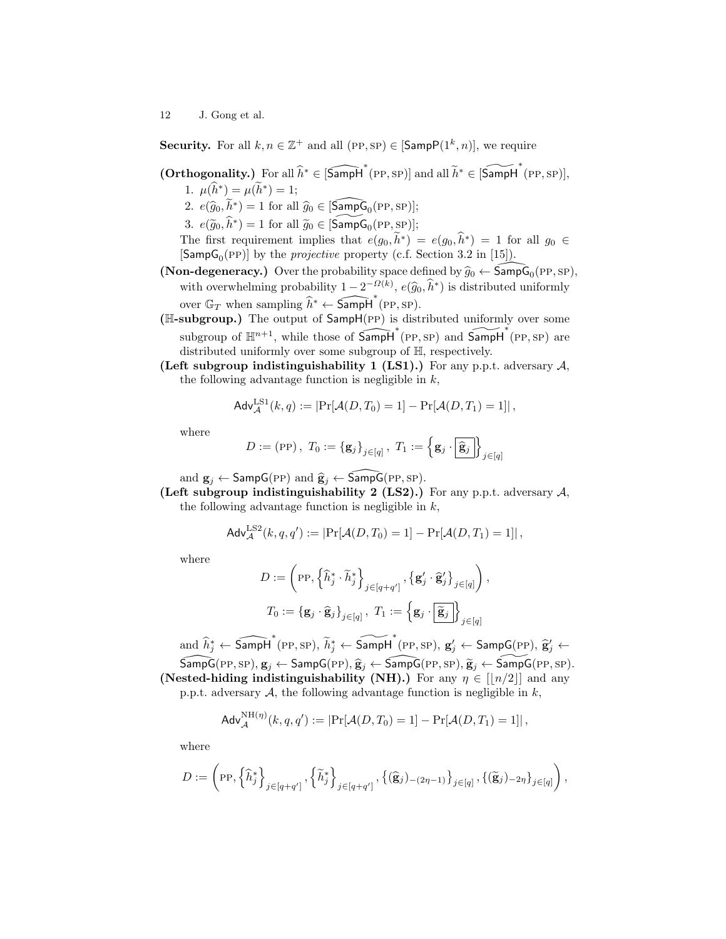**Security.** For all  $k, n \in \mathbb{Z}^+$  and all  $(\text{PP}, \text{SP}) \in [\text{SampP}(1^k, n)],$  we require

- $(Orthogonality.)$  For all  $\widehat{h}^* \in [\widehat{\textsf{Sampl}}^*(\text{PP}, \text{SP})]$  and all  $\widetilde{h}^* \in [\widetilde{\textsf{Sampl}}^*(\text{PP}, \text{SP})]$ ,
	- 1.  $\mu(h^*) = \mu(h^*) = 1;$
	- 2.  $e(\hat{g}_0, \tilde{h}^*) = 1$  for all  $\hat{g}_0 \in [\widehat{\textsf{SampG}}_0(\text{PP}, \text{SP})];$
	- 3.  $e(\tilde{g}_0, \hat{h}^*) = 1$  for all  $\tilde{g}_0 \in [\widetilde{\textsf{SampG}}_0(\text{PP}, \text{SP})];$

The first requirement implies that  $e(g_0, \tilde{h}^*) = e(g_0, \tilde{h}^*) = 1$  for all  $g_0 \in$ [Samp $G_0(PP)$ ] by the *projective* property (c.f. Section 3.2 in [15]).

- (Non-degeneracy.) Over the probability space defined by  $\widehat{g}_0 \leftarrow \widehat{\mathsf{SampG}}_0(\text{PP}, \text{SP})$ , with overwhelming probability  $1 - 2^{-\Omega(k)}$ ,  $e(\hat{g}_0, \hat{h}^*)$  is distributed uniformly over  $\mathbb{G}_T$  when sampling  $\widehat{h}^* \leftarrow \widehat{\mathsf{Sampl}}^*(\text{pp}, \text{sp}).$
- (H-subgroup.) The output of SampH(pp) is distributed uniformly over some subgroup of  $\mathbb{H}^{n+1}$ , while those of  $\overrightarrow{SampH}^*(PP, SP)$  and  $\widetilde{SampH}^*(PP, SP)$  are distributed uniformly over some subgroup of H, respectively.
- (Left subgroup indistinguishability 1 (LS1).) For any p.p.t. adversary  $A$ , the following advantage function is negligible in  $k$ ,

$$
\mathsf{Adv}_{\mathcal{A}}^{\mathrm{LS1}}(k,q) := \left| \Pr[\mathcal{A}(D,T_0) = 1] - \Pr[\mathcal{A}(D,T_1) = 1] \right|,
$$

where

$$
D := (\text{PP}), \ T_0 := {\{\mathbf{g}_j\}}_{j \in [q]}, \ T_1 := {\{\mathbf{g}_j \cdot \widehat{\mathbf{g}_j}\}}_{j \in [q]}
$$

and  $\mathbf{g}_j \leftarrow$  SampG(PP) and  $\hat{\mathbf{g}}_j \leftarrow$  SampG(PP, SP).

(Left subgroup indistinguishability 2 (LS2).) For any p.p.t. adversary  $A$ , the following advantage function is negligible in  $k$ ,

$$
Adv_{\mathcal{A}}^{\text{LS2}}(k, q, q') := |\Pr[\mathcal{A}(D, T_0) = 1] - \Pr[\mathcal{A}(D, T_1) = 1]|,
$$

where

$$
\begin{aligned} D &:= \bigg(\text{PP}, \left\{\widehat{h}_j^* \cdot \widetilde{h}_j^*\right\}_{j \in [q+q']}, \left\{\mathbf{g}_j' \cdot \widehat{\mathbf{g}}_j'\right\}_{j \in [q]}, \\ T_0 &:= \left\{\mathbf{g}_j \cdot \widehat{\mathbf{g}}_j\right\}_{j \in [q]}, \ T_1 &:= \left\{\mathbf{g}_j \cdot \left\lvert \widetilde{\mathbf{g}}_j \right\rvert\right\}_{j \in [q]} \end{aligned}
$$

 $\text{and } \widehat{h}^*_j \leftarrow \widehat{\mathsf{Sampl}^*}(\text{PP}, \text{SP}),\ \widetilde{h}^*_j \leftarrow \widehat{\mathsf{Sampl}^*}(\text{PP}, \text{SP}),\ \textbf{g}'_j \leftarrow \mathsf{SampG}(\text{PP}),\ \widehat{\textbf{g}}'_j \leftarrow$  $\widetilde{\mathsf{SampG}} (\mathrm{PP}, \mathrm{SP}), \mathbf{g}_j \leftarrow \mathsf{SampG} (\mathrm{PP}), \widehat{\mathbf{g}}_j \leftarrow \widetilde{\mathsf{SampG}} (\mathrm{PP}, \mathrm{SP}), \widetilde{\mathbf{g}}_j \leftarrow \widetilde{\mathsf{SampG}} (\mathrm{PP}, \mathrm{SP}).$ 

(Nested-hiding indistinguishability (NH).) For any  $\eta \in [n/2]$  and any p.p.t. adversary  $A$ , the following advantage function is negligible in  $k$ ,

$$
Adv_{\mathcal{A}}^{\text{NH}(\eta)}(k, q, q') := \left| \Pr[\mathcal{A}(D, T_0) = 1] - \Pr[\mathcal{A}(D, T_1) = 1] \right|,
$$

where

$$
D:=\left(\textrm{PP}, \left\{\widehat{h}_j^*\right\}_{j\in [q+q']}, \left\{\widetilde{h}_j^*\right\}_{j\in [q+q']}, \left\{(\widehat{\mathbf{g}}_j)_{-(2\eta-1)}\right\}_{j\in [q]}, \left\{(\widetilde{\mathbf{g}}_j)_{-2\eta}\right\}_{j\in [q]}\right),
$$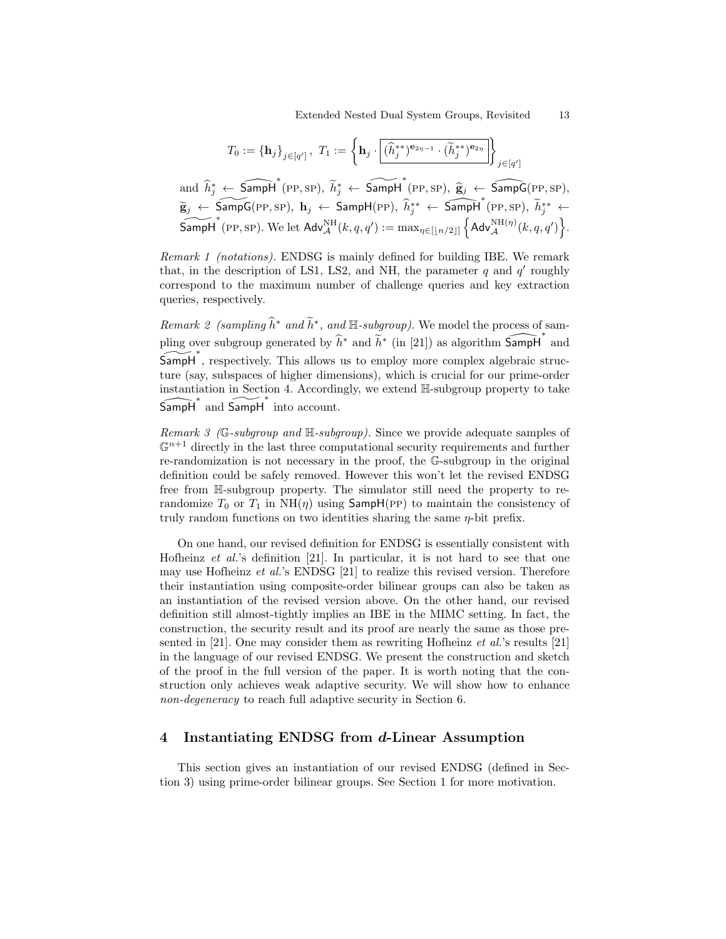$$
T_0 := {\mathbf{h}_j}_{j \in [q']} , T_1 := \left\{ \mathbf{h}_j \cdot \boxed{(\widehat{h}_j^{**})^{\mathbf{e}_{2\eta - 1}} \cdot (\widetilde{h}_j^{**})^{\mathbf{e}_{2\eta}}} \right\}_{j \in [q']}
$$

and  $\hat{h}_j^* \leftarrow \widehat{\mathsf{SampH}}^*(\text{PP}, \text{SP}), \ \widetilde{h}_j^* \leftarrow \widehat{\mathsf{SampH}}^*(\text{PP}, \text{SP}), \ \widehat{g}_j \leftarrow \widehat{\mathsf{SampG}}(\text{PP}, \text{SP}),$  $\widetilde{\mathbf{g}}_j \leftarrow \widetilde{\mathsf{SampG}}(\text{PP}, \text{SP}), \; \mathbf{h}_j \leftarrow \widetilde{\mathsf{SampH}}(\text{PP}), \; \widehat{h}_j^{**} \leftarrow \widetilde{\mathsf{SampH}}^*(\text{PP}, \text{SP}), \; \widetilde{h}_j^{**} \leftarrow$  $\widetilde{\mathsf{Sampl}}^*$  (PP, SP). We let  $\mathsf{Adv}_{\mathcal{A}}^{\rm NH}(k,q,q') := \max_{\eta \in [[n/2]]} \left\{ \mathsf{Adv}_{\mathcal{A}}^{\rm NH(\eta)}(k,q,q') \right\}.$ 

Remark 1 (notations). ENDSG is mainly defined for building IBE. We remark that, in the description of LS1, LS2, and NH, the parameter  $q$  and  $q'$  roughly correspond to the maximum number of challenge queries and key extraction queries, respectively.

Remark 2 (sampling  $\widehat{h}^*$  and  $\widetilde{h}^*$ , and  $\mathbb{H}$ -subgroup). We model the process of sampling over subgroup generated by  $\hat{h}^*$  and  $\check{h}^*$  (in [21]) as algorithm  $\widehat{\mathsf{Sampl}}^*$  and SampH<sup>\*</sup>, respectively. This allows us to employ more complex algebraic structure (say, subspaces of higher dimensions), which is crucial for our prime-order instantiation in Section 4. Accordingly, we extend H-subgroup property to take  $\widehat{\mathsf{Sampl}}^*$  and  $\widetilde{\mathsf{Sampl}}^*$  into account.

Remark 3 (G-subgroup and H-subgroup). Since we provide adequate samples of  $\mathbb{G}^{n+1}$  directly in the last three computational security requirements and further re-randomization is not necessary in the proof, the G-subgroup in the original definition could be safely removed. However this won't let the revised ENDSG free from H-subgroup property. The simulator still need the property to rerandomize  $T_0$  or  $T_1$  in NH( $\eta$ ) using SampH(PP) to maintain the consistency of truly random functions on two identities sharing the same  $\eta$ -bit prefix.

On one hand, our revised definition for ENDSG is essentially consistent with Hofheinz *et al.*'s definition [21]. In particular, it is not hard to see that one may use Hofheinz et al.'s ENDSG [21] to realize this revised version. Therefore their instantiation using composite-order bilinear groups can also be taken as an instantiation of the revised version above. On the other hand, our revised definition still almost-tightly implies an IBE in the MIMC setting. In fact, the construction, the security result and its proof are nearly the same as those presented in [21]. One may consider them as rewriting Hofheinz *et al.*'s results [21] in the language of our revised ENDSG. We present the construction and sketch of the proof in the full version of the paper. It is worth noting that the construction only achieves weak adaptive security. We will show how to enhance non-degeneracy to reach full adaptive security in Section 6.

# 4 Instantiating ENDSG from d-Linear Assumption

This section gives an instantiation of our revised ENDSG (defined in Section 3) using prime-order bilinear groups. See Section 1 for more motivation.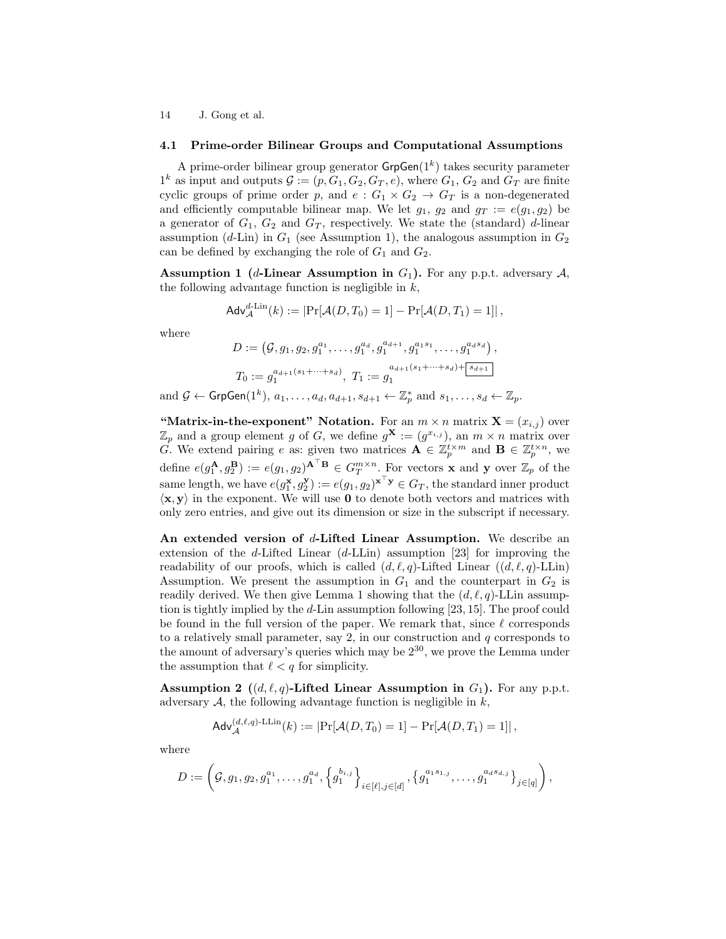#### 4.1 Prime-order Bilinear Groups and Computational Assumptions

A prime-order bilinear group generator  $\mathsf{GrpGen}(1^k)$  takes security parameter  $1^k$  as input and outputs  $\mathcal{G} := (p, G_1, G_2, G_T, e)$ , where  $G_1, G_2$  and  $G_T$  are finite cyclic groups of prime order p, and  $e: G_1 \times G_2 \to G_T$  is a non-degenerated and efficiently computable bilinear map. We let  $g_1, g_2$  and  $g_T := e(g_1, g_2)$  be a generator of  $G_1, G_2$  and  $G_T$ , respectively. We state the (standard) d-linear assumption (d-Lin) in  $G_1$  (see Assumption 1), the analogous assumption in  $G_2$ can be defined by exchanging the role of  $G_1$  and  $G_2$ .

**Assumption 1** (*d*-Linear Assumption in  $G_1$ ). For any p.p.t. adversary  $A$ , the following advantage function is negligible in  $k$ ,

$$
\mathsf{Adv}_{\mathcal{A}}^{d\text{-Lin}}(k) := \left| \Pr[\mathcal{A}(D, T_0) = 1] - \Pr[\mathcal{A}(D, T_1) = 1] \right|,
$$

where

$$
D := (\mathcal{G}, g_1, g_2, g_1^{a_1}, \dots, g_1^{a_d}, g_1^{a_{d+1}}, g_1^{a_1 s_1}, \dots, g_1^{a_d s_d}),
$$
  
\n
$$
T_0 := g_1^{a_{d+1}(s_1 + \dots + s_d)}, \ T_1 := g_1^{a_{d+1}(s_1 + \dots + s_d) + \boxed{s_{d+1}}}
$$
  
\nand  $\mathcal{G} \leftarrow \text{GrpGen}(1^k), a_1, \dots, a_d, a_{d+1}, s_{d+1} \leftarrow \mathbb{Z}_p^*$  and  $s_1, \dots, s_d \leftarrow \mathbb{Z}_p$ .

"Matrix-in-the-exponent" Notation. For an  $m \times n$  matrix  $X = (x_{i,j})$  over  $\mathbb{Z}_p$  and a group element g of G, we define  $g^{\mathbf{X}} := (g^{x_{i,j}})$ , an  $m \times n$  matrix over G. We extend pairing e as: given two matrices  $\mathbf{A} \in \mathbb{Z}_p^{t \times m}$  and  $\mathbf{B} \in \mathbb{Z}_p^{t \times n}$ , we define  $e(g_1^{\mathbf{A}},g_2^{\mathbf{B}}) := e(g_1,g_2)^{\mathbf{A}^{\top}\mathbf{B}} \in G_T^{m \times n}$ . For vectors **x** and **y** over  $\mathbb{Z}_p$  of the same length, we have  $e(g_1^{\mathbf{x}}, g_2^{\mathbf{y}}) := e(g_1, g_2)^{\mathbf{x}^\top \mathbf{y}} \in G_T$ , the standard inner product  $\langle x, y \rangle$  in the exponent. We will use 0 to denote both vectors and matrices with only zero entries, and give out its dimension or size in the subscript if necessary.

An extended version of d-Lifted Linear Assumption. We describe an extension of the d-Lifted Linear  $(d-LLin)$  assumption [23] for improving the readability of our proofs, which is called  $(d, \ell, q)$ -Lifted Linear  $((d, \ell, q)$ -LLin) Assumption. We present the assumption in  $G_1$  and the counterpart in  $G_2$  is readily derived. We then give Lemma 1 showing that the  $(d, \ell, q)$ -LLin assumption is tightly implied by the d-Lin assumption following [23, 15]. The proof could be found in the full version of the paper. We remark that, since  $\ell$  corresponds to a relatively small parameter, say  $2$ , in our construction and  $q$  corresponds to the amount of adversary's queries which may be  $2^{30}$ , we prove the Lemma under the assumption that  $\ell < q$  for simplicity.

Assumption 2 ( $(d, \ell, q)$ -Lifted Linear Assumption in  $G_1$ ). For any p.p.t. adversary  $A$ , the following advantage function is negligible in  $k$ ,

$$
\mathsf{Adv}_{\mathcal{A}}^{(d,\ell,q)\text{-LLin}}(k) := \left| \Pr[\mathcal{A}(D,T_0) = 1] - \Pr[\mathcal{A}(D,T_1) = 1] \right|,
$$

where

$$
D:=\left(\mathcal{G},g_1,g_2,g_1^{a_1},\ldots,g_1^{a_d},\left\{g_1^{b_{i,j}}\right\}_{i\in[\ell],j\in[d]},\left\{g_1^{a_1s_{1,j}},\ldots,g_1^{a_d s_{d,j}}\right\}_{j\in[q]}\right),
$$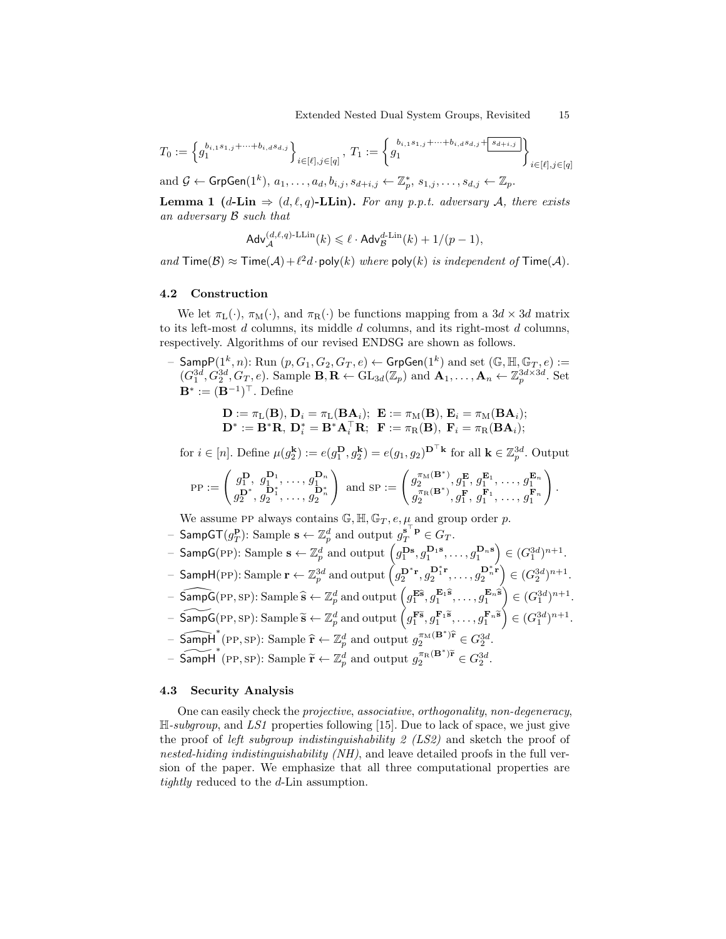$$
T_0 := \left\{ g_1^{b_{i,1}s_{1,j} + \dots + b_{i,d}s_{d,j}} \right\}_{i \in [\ell], j \in [q]}, \ T_1 := \left\{ g_1^{b_{i,1}s_{1,j} + \dots + b_{i,d}s_{d,j} + \boxed{s_{d+i,j}}} \right\}_{i \in [\ell], j \in [q]}
$$

and  $\mathcal{G} \leftarrow \mathsf{GrpGen}(1^k), a_1, \ldots, a_d, b_{i,j}, s_{d+i,j} \leftarrow \mathbb{Z}_p^*, s_{1,j}, \ldots, s_{d,j} \leftarrow \mathbb{Z}_p.$ 

**Lemma 1** (d-Lin  $\Rightarrow$  (d, l, q)-LLin). For any p.p.t. adversary A, there exists an adversary B such that

$$
\mathsf{Adv}_{\mathcal{A}}^{(d,\ell,q)\text{-}\mathrm{LLin}}(k) \leqslant \ell \cdot \mathsf{Adv}_{\mathcal{B}}^{d\text{-}\mathrm{Lin}}(k) + 1/(p-1),
$$

and  $\text{Time}(\mathcal{B}) \approx \text{Time}(\mathcal{A}) + \ell^2 d \cdot \text{poly}(k)$  where  $\text{poly}(k)$  is independent of  $\text{Time}(\mathcal{A})$ .

### 4.2 Construction

We let  $\pi_L(\cdot)$ ,  $\pi_M(\cdot)$ , and  $\pi_R(\cdot)$  be functions mapping from a  $3d \times 3d$  matrix to its left-most  $d$  columns, its middle  $d$  columns, and its right-most  $d$  columns, respectively. Algorithms of our revised ENDSG are shown as follows.

- Samp $P(1^k, n)$ : Run  $(p, G_1, G_2, G_T, e) \leftarrow \mathsf{GrpGen}(1^k)$  and set  $(\mathbb{G}, \mathbb{H}, \mathbb{G}_T, e) :=$  $(G_1^{3d}, G_2^{3d}, G_T, e)$ . Sample  $\mathbf{B}, \mathbf{R} \leftarrow \text{GL}_{3d}(\mathbb{Z}_p)$  and  $\mathbf{A}_1, \ldots, \mathbf{A}_n \leftarrow \mathbb{Z}_p^{3d \times 3d}$ . Set  $\mathbf{B}^* := (\mathbf{B}^{-1})^{\top}$ . Define

$$
\begin{array}{l} \mathbf{D}:=\pi_{\mathrm{L}}(\mathbf{B}), \mathbf{D}_i=\pi_{\mathrm{L}}(\mathbf{B}\mathbf{A}_i); \ \mathbf{E}:=\pi_{\mathrm{M}}(\mathbf{B}), \ \mathbf{E}_i=\pi_{\mathrm{M}}(\mathbf{B}\mathbf{A}_i); \\ \mathbf{D}^*:=\mathbf{B}^*\mathbf{R}, \ \mathbf{D}_i^*=\mathbf{B}^*\mathbf{A}_i^\top\mathbf{R}; \ \ \mathbf{F}:=\pi_{\mathrm{R}}(\mathbf{B}), \ \mathbf{F}_i=\pi_{\mathrm{R}}(\mathbf{B}\mathbf{A}_i); \end{array}
$$

for  $i \in [n]$ . Define  $\mu(g_2^{\mathbf{k}}) := e(g_1^{\mathbf{D}}, g_2^{\mathbf{k}}) = e(g_1, g_2)^{\mathbf{D}^{\top} \mathbf{k}}$  for all  $\mathbf{k} \in \mathbb{Z}_p^{3d}$ . Output

$$
\text{PP} := \begin{pmatrix} g_1^{\mathbf{D}}, g_1^{\mathbf{D}_1}, \dots, g_1^{\mathbf{D}_n} \\ g_2^{\mathbf{D}^*}, g_2^{\mathbf{D}_1^*}, \dots, g_2^{\mathbf{D}_n^*} \end{pmatrix} \text{ and } \text{SP} := \begin{pmatrix} g_2^{\pi_\mathbf{M}(\mathbf{B}^*)}, g_1^{\mathbf{E}}, g_1^{\mathbf{E}_1}, \dots, g_1^{\mathbf{E}_n} \\ g_2^{\pi_\mathbf{R}(\mathbf{B}^*)}, g_1^{\mathbf{F}}, g_1^{\mathbf{F}_1}, \dots, g_1^{\mathbf{F}_n} \end{pmatrix}.
$$

We assume PP always contains  $\mathbb{G}, \mathbb{H}, \mathbb{G}_T, e, \mu$  and group order p.

- Samp $\mathsf{GT}(g_T^\mathbf{p})$ : Sample  $\mathbf{s} \leftarrow \mathbb{Z}_p^d$  and output  $g_T^{\mathbf{s}^\top \mathbf{p}} \in G_T$ .
- SampG(PP): Sample  $\mathbf{s} \leftarrow \mathbb{Z}_p^d$  and output  $\left(g_1^{\mathbf{Ds}}, g_1^{\mathbf{D_1s}}, \ldots, g_1^{\mathbf{D_n s}}\right) \in (G_1^{3d})^{n+1}$ .
- $-$  SampH(PP): Sample  $\mathbf{r} \leftarrow \mathbb{Z}_p^{3d}$  and output  $\left( g_2^{\mathbf{D}^* \mathbf{r}}, g_2^{\mathbf{D}_1^* \mathbf{r}} \right)$  $\left( G_2^{3d} \right) ^{n+1}$ ,  $\ldots, g_2^{\mathbf{D}_n^* \mathbf{r}} \Big) \in (G_2^{3d})^{n+1}$ .
- $-\widehat{\mathsf{SampG}}(\text{PP}, \text{SP})$ : Sample  $\widehat{\mathbf{s}} \leftarrow \mathbb{Z}_p^d$  and output  $\left(g_1^{\mathbf{E}\widehat{\mathbf{s}}}, g_1^{\mathbf{E}_1\widehat{\mathbf{s}}}, \ldots, g_1^{\mathbf{E}_n\widehat{\mathbf{s}}\right) \in (G_1^{3d})^{n+1}$ .
- $-\widetilde{\mathsf{SampG}}(\text{PP}, \text{SP})$ : Sample  $\widetilde{\mathbf{s}} \leftarrow \mathbb{Z}_p^d$  and output  $\left(g_1^{\mathbf{F}\widetilde{\mathbf{s}}}, g_1^{\mathbf{F}_1\widetilde{\mathbf{s}}}, \ldots, g_1^{\mathbf{F}_n\widetilde{\mathbf{s}}}\right) \in (G_1^{3d})^{n+1}$ .
- $-\underbrace{\widehat{\text{Sampl}}^*}_{*}(\text{PP}, \text{SP})$ : Sample  $\hat{\mathbf{r}} \leftarrow \mathbb{Z}_p^d$  and output  $g_2^{\pi_M(\mathbf{B}^*)\hat{\mathbf{r}}}_{2} \in G_2^{3d}$ .
- SampH<sup>\*</sup>(PP, SP): Sample  $\tilde{\mathbf{r}} \leftarrow \mathbb{Z}_p^d$  and output  $g_2^{\pi_R(\mathbf{B}^*)\tilde{\mathbf{r}}} \in G_2^{3d}$ .

# 4.3 Security Analysis

One can easily check the projective, associative, orthogonality, non-degeneracy,  $\mathbb{H}\text{-}subgroup$ , and LS1 properties following [15]. Due to lack of space, we just give the proof of *left subgroup indistinguishability 2 (LS2)* and sketch the proof of nested-hiding indistinguishability  $(NH)$ , and leave detailed proofs in the full version of the paper. We emphasize that all three computational properties are tightly reduced to the d-Lin assumption.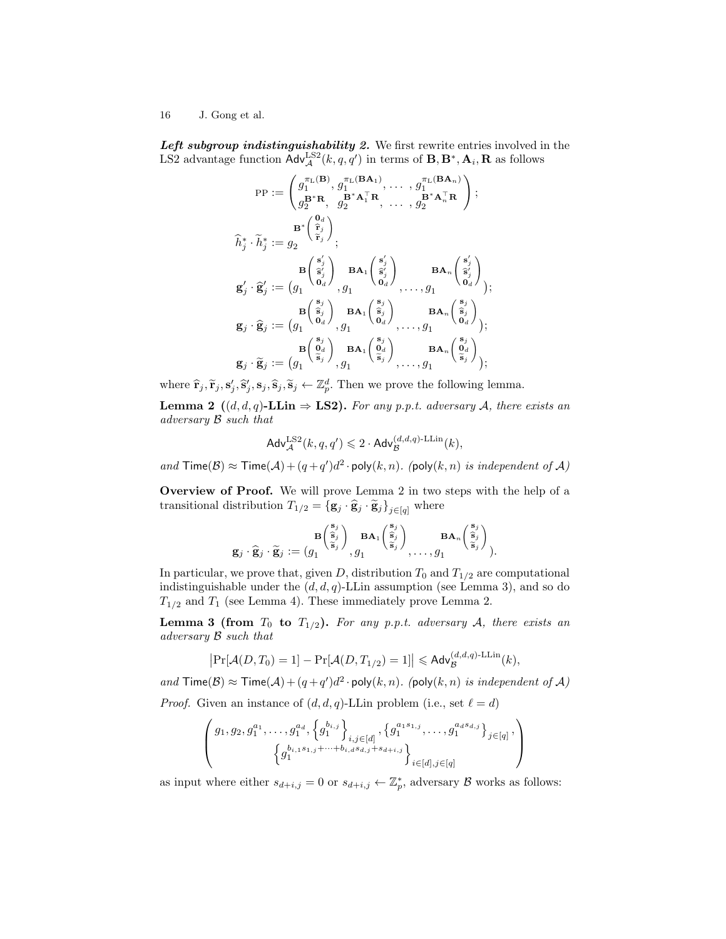Left subgroup indistinguishability 2. We first rewrite entries involved in the LS2 advantage function  $\mathsf{Adv}_{\mathcal{A}}^{\text{LS2}}(k, q, q')$  in terms of  $\mathbf{B}, \mathbf{B}^*, \mathbf{A}_i, \mathbf{R}$  as follows

$$
\begin{aligned} \text{PP} &:= \begin{pmatrix} g_1^{\pi_L(\mathbf{B})}, g_1^{\pi_L(\mathbf{BA}_1)}, \ldots, g_1^{\pi_L(\mathbf{BA}_n)} \\ g_2^{\mathbf{B}^* \mathbf{R}}, & g_2^{\mathbf{B}^* \mathbf{A}_1^{\top} \mathbf{R}}, \ldots, g_2^{\mathbf{B}^* \mathbf{A}_n^{\top} \mathbf{R}} \end{pmatrix}; \\ \widehat{h}_j^* \cdot \widetilde{h}_j^* &:= g_2 \end{pmatrix} \\ \widehat{\mathbf{h}}_j^* \cdot \widetilde{h}_j^* &:= g_2 \end{aligned} \quad \begin{aligned} \mathbf{B}^* \begin{pmatrix} \mathbf{0}_d \\ \widehat{\mathbf{r}}_j \end{pmatrix} \\ \mathbf{g}'_j \cdot \widehat{\mathbf{g}}'_j &:= \begin{pmatrix} \mathbf{B} \begin{pmatrix} \mathbf{s}'_j \\ \widehat{\mathbf{s}}'_j \end{pmatrix} & \mathbf{BA}_1 \begin{pmatrix} \mathbf{s}'_j \\ \widehat{\mathbf{s}}'_j \end{pmatrix} & \mathbf{BA}_n \begin{pmatrix} \mathbf{s}'_j \\ \widehat{\mathbf{s}}'_j \end{pmatrix} \\ \mathbf{g}_j \cdot \widehat{\mathbf{g}}_j &:= \begin{pmatrix} \mathbf{g} \begin{pmatrix} \mathbf{s}_j \\ \widehat{\mathbf{s}}_j \end{pmatrix} & \mathbf{BA}_1 \begin{pmatrix} \mathbf{s}_j \\ \widehat{\mathbf{s}}_j \end{pmatrix} & \mathbf{BA}_n \begin{pmatrix} \mathbf{s}_j \\ \widehat{\mathbf{s}}_j \end{pmatrix} \\ \mathbf{g}_j \cdot \widehat{\mathbf{g}}_j &:= \begin{pmatrix} g_1 \begin{pmatrix} \mathbf{s}_j \\ \mathbf{0}_d \end{pmatrix} & \mathbf{BA}_1 \begin{pmatrix} \mathbf{s}_j \\ \widehat{\mathbf{s}}_j \end{pmatrix} & \mathbf{BA}_n \begin{pmatrix} \mathbf{s}_j \\ \widehat{\mathbf{s}}_j \end{pmatrix} \\ \mathbf{g}_j \cdot \widetilde{\mathbf{g}}_j &:= \begin{pmatrix} g_1 \begin{pmatrix} \mathbf{s}_j \\ \mathbf{0}_d \end{pmatrix} & \mathbf{BA}_1 \begin{pmatrix} \mathbf{s}_j
$$

where  $\hat{\mathbf{r}}_j$ ,  $\tilde{\mathbf{r}}_j$ ,  $\mathbf{s}'_j$ ,  $\hat{\mathbf{s}}_j$ ,  $\hat{\mathbf{s}}_j$ ,  $\tilde{\mathbf{s}}_j$ ,  $\tilde{\mathbf{s}}_j$  +  $\mathbb{Z}_p^d$ . Then we prove the following lemma.

**Lemma 2** ((d, d, q)-LLin  $\Rightarrow$  LS2). For any p.p.t. adversary A, there exists an adversary B such that

$$
\mathsf{Adv}_{\mathcal{A}}^{\mathrm{LS2}}(k, q, q') \leqslant 2 \cdot \mathsf{Adv}_{\mathcal{B}}^{(d, d, q)\text{-LLin}}(k),
$$

and  $\textsf{Time}(\mathcal{B}) \approx \textsf{Time}(\mathcal{A}) + (q + q')d^2 \cdot \textsf{poly}(k, n)$ . (poly $(k, n)$  is independent of  $\mathcal{A}$ )

Overview of Proof. We will prove Lemma 2 in two steps with the help of a transitional distribution  $T_{1/2} = {\{\mathbf{g}_j \cdot \mathbf{\hat{g}}_j\}}_{j \in [q]}$  where

$$
\mathbf{g}_j \cdot \widehat{\mathbf{g}}_j \cdot \widetilde{\mathbf{g}}_j := (g_1 \overset{\mathbf{B}\left(\begin{smallmatrix} \mathbf{s}_j \\ \widehat{\mathbf{s}}_j \end{smallmatrix}\right)}{\mathbf{g}_j \cdot \widetilde{\mathbf{g}}_j} := (g_1 \overset{\mathbf{B}\left(\begin{smallmatrix} \mathbf{s}_j \\ \widehat{\mathbf{s}}_j \end{smallmatrix}\right)}{\mathbf{g}_j \cdot g_1}, g_1 \overset{\mathbf{B}\mathbf{A}_1\left(\begin{smallmatrix} \mathbf{s}_j \\ \widehat{\mathbf{s}}_j \end{smallmatrix}\right)}{\mathbf{g}_j \cdot \mathbf{g}_j}, \dots, g_1 \overset{\mathbf{B}\mathbf{A}_n\left(\begin{smallmatrix} \mathbf{s}_j \\ \widehat{\mathbf{s}}_j \end{smallmatrix}\right)}{\mathbf{g}_j \cdot \mathbf{g}_j}.
$$

In particular, we prove that, given D, distribution  $T_0$  and  $T_{1/2}$  are computational indistinguishable under the  $(d, d, q)$ -LLin assumption (see Lemma 3), and so do  $T_{1/2}$  and  $T_1$  (see Lemma 4). These immediately prove Lemma 2.

**Lemma 3 (from**  $T_0$  to  $T_{1/2}$ ). For any p.p.t. adversary A, there exists an adversary B such that

$$
\left|\Pr[\mathcal{A}(D,T_0)=1]-\Pr[\mathcal{A}(D,T_{1/2})=1]\right|\leqslant \mathsf{Adv}_{\mathcal{B}}^{(d,d,q)\text{-LLin}}(k),
$$

and  $\textsf{Time}(\mathcal{B}) \approx \textsf{Time}(\mathcal{A}) + (q + q')d^2 \cdot \textsf{poly}(k, n)$ . (poly $(k, n)$  is independent of  $\mathcal{A}$ ) *Proof.* Given an instance of  $(d, d, q)$ -LLin problem (i.e., set  $\ell = d$ )

$$
\begin{pmatrix} g_1, g_2, g_1^{a_1}, \dots, g_1^{a_d}, \left\{ g_1^{b_{i,j}} \right\}_{i,j \in [d]}, \left\{ g_1^{a_1 s_{1,j}}, \dots, g_1^{a_d s_{d,j}} \right\}_{j \in [q]}, \\ \left\{ g_1^{b_{i,1} s_{1,j} + \dots + b_{i,d} s_{d,j} + s_{d+i,j}} \right\}_{i \in [d], j \in [q]} \end{pmatrix}
$$

as input where either  $s_{d+i,j} = 0$  or  $s_{d+i,j} \leftarrow \mathbb{Z}_p^*$ , adversary  $\mathcal B$  works as follows: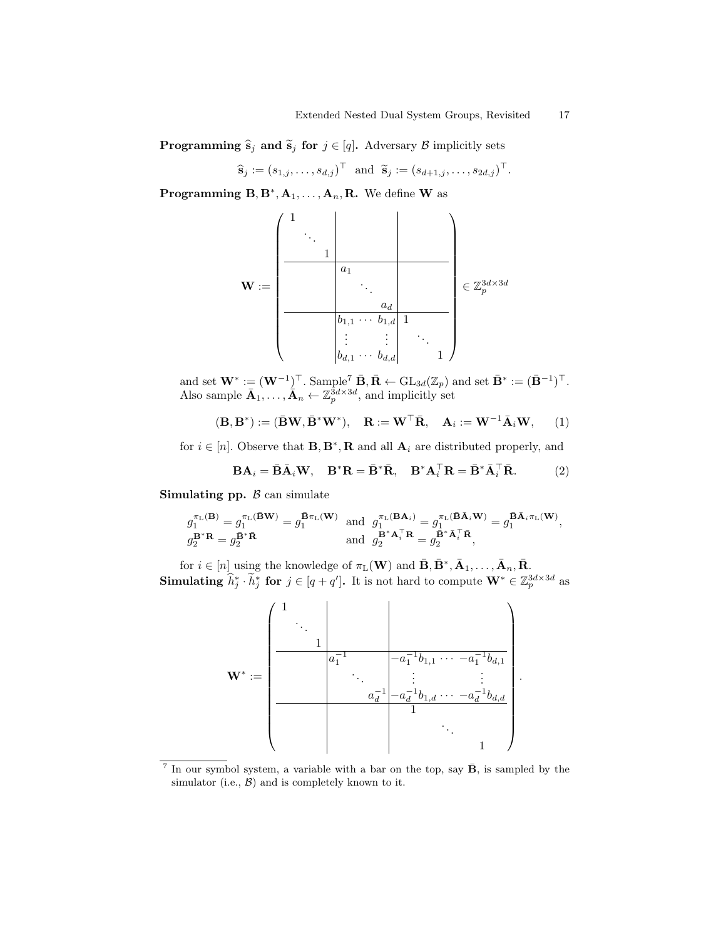**Programming**  $\hat{\mathbf{s}}_j$  and  $\tilde{\mathbf{s}}_j$  for  $j \in [q]$ . Adversary B implicitly sets

$$
\widehat{\mathbf{s}}_j := (s_{1,j}, \ldots, s_{d,j})^\top \text{ and } \widetilde{\mathbf{s}}_j := (s_{d+1,j}, \ldots, s_{2d,j})^\top.
$$

**Programming B, B<sup>\*</sup>, A<sub>1</sub>, ..., A<sub>n</sub>, R.** We define **W** as

$$
\mathbf{W} := \begin{pmatrix} 1 & & & & & \\ & \ddots & & & & & \\ & & a_1 & & & & \\ & & & a_1 & & & \\ & & & \ddots & & & \\ & & & & a_d & & \\ & & & & a_d & & \\ & & & & b_{1,1} & \cdots & b_{1,d} & 1 \\ & & & & & \vdots & \vdots & \ddots \\ & & & & & b_{d,1} & \cdots & b_{d,d} & 1 \end{pmatrix} \in \mathbb{Z}_p^{3d \times 3d}
$$

and set  $\mathbf{W}^* := (\mathbf{W}^{-1})^\top$ . Sample<sup>7</sup>  $\mathbf{\bar{B}}, \mathbf{\bar{R}} \leftarrow \text{GL}_{3d}(\mathbb{Z}_p)$  and set  $\mathbf{\bar{B}}^* := (\mathbf{\bar{B}}^{-1})^\top$ . Also sample  $\bar{\mathbf{A}}_1, \ldots, \bar{\mathbf{A}}_n \leftarrow \mathbb{Z}_p^{3d \times 3d}$ , and implicitly set

$$
(\mathbf{B}, \mathbf{B}^*) := (\mathbf{\bar{B}}\mathbf{W}, \mathbf{\bar{B}}^*\mathbf{W}^*), \quad \mathbf{R} := \mathbf{W}^\top \mathbf{\bar{R}}, \quad \mathbf{A}_i := \mathbf{W}^{-1} \mathbf{\bar{A}}_i \mathbf{W}, \qquad (1)
$$

for  $i \in [n]$ . Observe that  $\mathbf{B}, \mathbf{B}^*, \mathbf{R}$  and all  $\mathbf{A}_i$  are distributed properly, and

$$
\mathbf{B}\mathbf{A}_{i} = \bar{\mathbf{B}}\bar{\mathbf{A}}_{i}\mathbf{W}, \quad \mathbf{B}^{*}\mathbf{R} = \bar{\mathbf{B}}^{*}\bar{\mathbf{R}}, \quad \mathbf{B}^{*}\mathbf{A}_{i}^{\top}\mathbf{R} = \bar{\mathbf{B}}^{*}\bar{\mathbf{A}}_{i}^{\top}\bar{\mathbf{R}}.
$$
 (2)

Simulating pp.  $\beta$  can simulate

$$
\begin{array}{ll} g_1^{\pi_\mathrm{L}(\mathbf{B})} = g_1^{\pi_\mathrm{L}(\bar{\mathbf{B}}\mathbf{W})} = g_1^{\bar{\mathbf{B}}\pi_\mathrm{L}(\mathbf{W})} & \mathrm{and} \ \ g_1^{\pi_\mathrm{L}(\mathbf{B}\mathbf{A}_i)} = g_1^{\pi_\mathrm{L}(\bar{\mathbf{B}}\bar{\mathbf{A}}_i\mathbf{W})} = g_1^{\bar{\mathbf{B}}\bar{\mathbf{A}}_i\pi_\mathrm{L}(\mathbf{W})}, \\ g_2^{\mathbf{B}^*\mathbf{R}} = g_2^{\bar{\mathbf{B}}^*\bar{\mathbf{R}}} & \mathrm{and} \ \ g_2^{\mathbf{B}^*\mathbf{A}_i^\top\mathbf{R}} = g_2^{\bar{\mathbf{B}}^*\bar{\mathbf{A}}_i^\top\bar{\mathbf{R}}}, \end{array}
$$

for  $i \in [n]$  using the knowledge of  $\pi_L(\mathbf{W})$  and  $\bar{\mathbf{B}}, \bar{\mathbf{B}}^*, \bar{\mathbf{A}}_1, \ldots, \bar{\mathbf{A}}_n, \bar{\mathbf{R}}$ . Simulating  $\widehat{h}_j^* \cdot \widetilde{h}_j^*$  for  $j \in [q+q']$ . It is not hard to compute  $\mathbf{W}^* \in \mathbb{Z}_p^{3d \times 3d}$  as



<sup>&</sup>lt;sup>7</sup> In our symbol system, a variable with a bar on the top, say  $\bar{\mathbf{B}}$ , is sampled by the simulator (i.e.,  $\mathcal{B}$ ) and is completely known to it.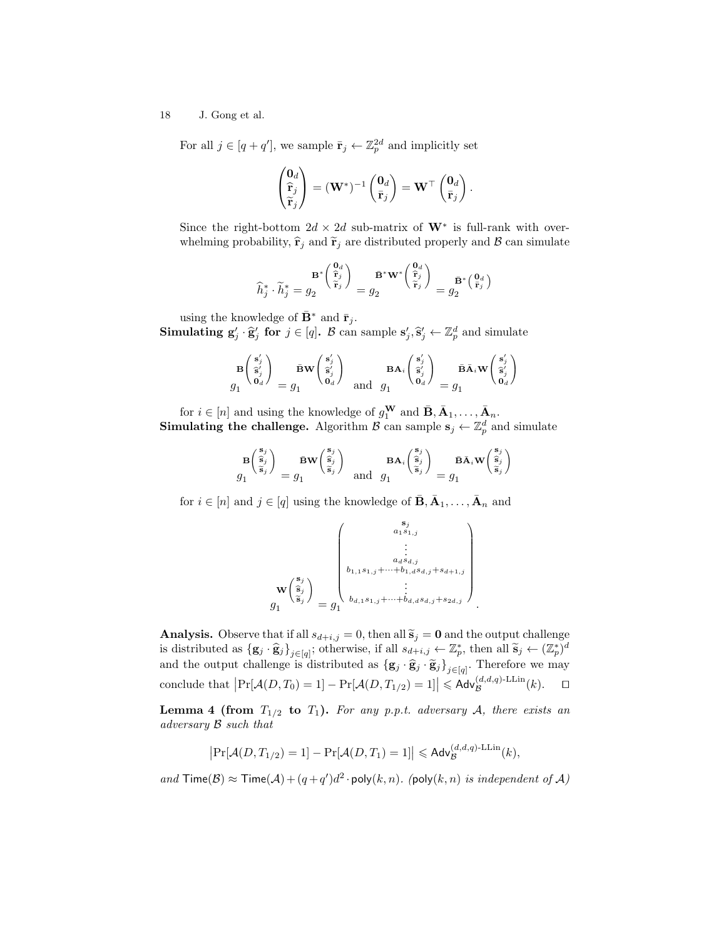For all  $j \in [q + q']$ , we sample  $\bar{\mathbf{r}}_j \leftarrow \mathbb{Z}_p^{2d}$  and implicitly set

$$
\begin{pmatrix} \mathbf{0}_d \\ \widehat{\mathbf{r}}_j \\ \widetilde{\mathbf{r}}_j \end{pmatrix} = (\mathbf{W}^*)^{-1} \begin{pmatrix} \mathbf{0}_d \\ \bar{\mathbf{r}}_j \end{pmatrix} = \mathbf{W}^\top \begin{pmatrix} \mathbf{0}_d \\ \bar{\mathbf{r}}_j \end{pmatrix}.
$$

Since the right-bottom  $2d \times 2d$  sub-matrix of  $W^*$  is full-rank with overwhelming probability,  $\hat{\mathbf{r}}_i$  and  $\widetilde{\mathbf{r}}_i$  are distributed properly and  $\mathcal{B}$  can simulate

$$
\widehat{h}_j^* \cdot \widetilde{h}_j^* = g_2 \frac{\mathbf{B}^* \begin{pmatrix} \mathbf{0}_d \\ \widehat{\mathbf{r}}_j \\ \widehat{\mathbf{r}}_j \end{pmatrix}}{=} g_2 \frac{\bar{\mathbf{B}}^* \mathbf{W}^* \begin{pmatrix} \mathbf{0}_d \\ \widehat{\mathbf{r}}_j \\ \widehat{\mathbf{r}}_j \end{pmatrix}}{=} g_2 \frac{\bar{\mathbf{B}}^* \begin{pmatrix} \mathbf{0}_d \\ \widehat{\mathbf{r}}_j \end{pmatrix}}
$$

using the knowledge of  $\mathbf{B}^*$  and  $\bar{\mathbf{r}}_j$ .

**Simulating**  $g'_j \cdot \hat{g}'_j$  **for**  $j \in [q]$ . B can sample  $s'_j, \hat{s}'_j \leftarrow \mathbb{Z}_p^d$  and simulate

$$
\mathbf{B}\begin{pmatrix} \mathbf{s}'_j \\ \mathbf{\hat{s}}'_j \\ \mathbf{0}_d \end{pmatrix} = g_1 \qquad \mathbf{\bar{B}}\mathbf{W}\begin{pmatrix} \mathbf{s}'_j \\ \mathbf{\hat{s}}'_j \\ \mathbf{0}_d \end{pmatrix} \quad \text{and} \quad g_1 \qquad \mathbf{B}\mathbf{A}_i \begin{pmatrix} \mathbf{s}'_j \\ \mathbf{\hat{s}}'_j \\ \mathbf{0}_d \end{pmatrix} = g_1 \qquad \mathbf{\bar{B}}\mathbf{\bar{A}}_i\mathbf{W}\begin{pmatrix} \mathbf{s}'_j \\ \mathbf{\hat{s}}'_j \\ \mathbf{0}_d \end{pmatrix}
$$

for  $i \in [n]$  and using the knowledge of  $g_1^{\mathbf{W}}$  and  $\bar{\mathbf{B}}, \bar{\mathbf{A}}_1, \ldots, \bar{\mathbf{A}}_n$ . **Simulating the challenge.** Algorithm  $\mathcal{B}$  can sample  $\mathbf{s}_j \leftarrow \mathbb{Z}_p^d$  and simulate

$$
\frac{\mathbf{B}\begin{pmatrix} \mathbf{s}_j \\ \hat{\mathbf{s}}_j \\ \tilde{\mathbf{s}}_j \end{pmatrix}}{g_1} = \frac{\bar{\mathbf{B}}\mathbf{W}\begin{pmatrix} \mathbf{s}_j \\ \hat{\mathbf{s}}_j \\ \tilde{\mathbf{s}}_j \end{pmatrix}}{\text{ and }} \frac{\mathbf{B}\mathbf{A}_i \begin{pmatrix} \mathbf{s}_j \\ \hat{\mathbf{s}}_j \\ \tilde{\mathbf{s}}_j \end{pmatrix}}{g_1} = \frac{\bar{\mathbf{B}}\bar{\mathbf{A}}_i\mathbf{W}\begin{pmatrix} \mathbf{s}_j \\ \hat{\mathbf{s}}_j \\ \tilde{\mathbf{s}}_j \end{pmatrix}}
$$

for  $i \in [n]$  and  $j \in [q]$  using the knowledge of  $\overline{\mathbf{B}}, \overline{\mathbf{A}}_1, \ldots, \overline{\mathbf{A}}_n$  and

$$
\mathbf{w}\begin{pmatrix} \mathbf{s}_j \\ \mathbf{s}_j \\ \vdots \\ \mathbf{s}_j \\ \mathbf{s}_j \\ \mathbf{s}_j \end{pmatrix} = g_1^{\left(\begin{smallmatrix} \mathbf{s}_j \\ a_1\mathbf{s}_{1,j} \\ \vdots \\ a_d s_{d,j} \\ b_{d,1}s_{1,j} + \cdots + b_{1,d}s_{d,j} + s_{d+1,j} \\ \vdots \\ b_{d,1}s_{1,j} + \cdots + b_{d,d}s_{d,j} + s_{2d,j} \end{smallmatrix}\right)}.
$$

Analysis. Observe that if all  $s_{d+i,j} = 0$ , then all  $\tilde{s}_j = 0$  and the output challenge is distributed as  $\{g_j \cdot \hat{g}_j\}_{j \in [q]}$ ; otherwise, if all  $s_{d+i,j} \leftarrow \mathbb{Z}_p^*$ , then all  $\tilde{s}_j \leftarrow (\mathbb{Z}_p^*)^d$ and the output challenge is distributed as  $\{g_j \cdot \hat{g}_j \cdot \hat{g}_j\}_{j \in [q]}$ . Therefore we may conclude that  $\left|\Pr[\mathcal{A}(D, T_0) = 1] - \Pr[\mathcal{A}(D, T_{1/2}) = 1] \right| \leq \mathsf{Adv}_{\mathcal{B}}^{(d, d, q)\text{-LLin}}(k).$ 

**Lemma 4 (from**  $T_{1/2}$  to  $T_1$ ). For any p.p.t. adversary A, there exists an adversary B such that

$$
\left|\Pr[\mathcal{A}(D,T_{1/2})=1]-\Pr[\mathcal{A}(D,T_1)=1]\right|\leqslant \mathsf{Adv}_{\mathcal{B}}^{(d,d,q)\text{-LLin}}(k),
$$

and  $\textsf{Time}(\mathcal{B}) \approx \textsf{Time}(\mathcal{A}) + (q + q')d^2 \cdot \textsf{poly}(k, n)$ . (poly $(k, n)$  is independent of  $\mathcal{A}$ )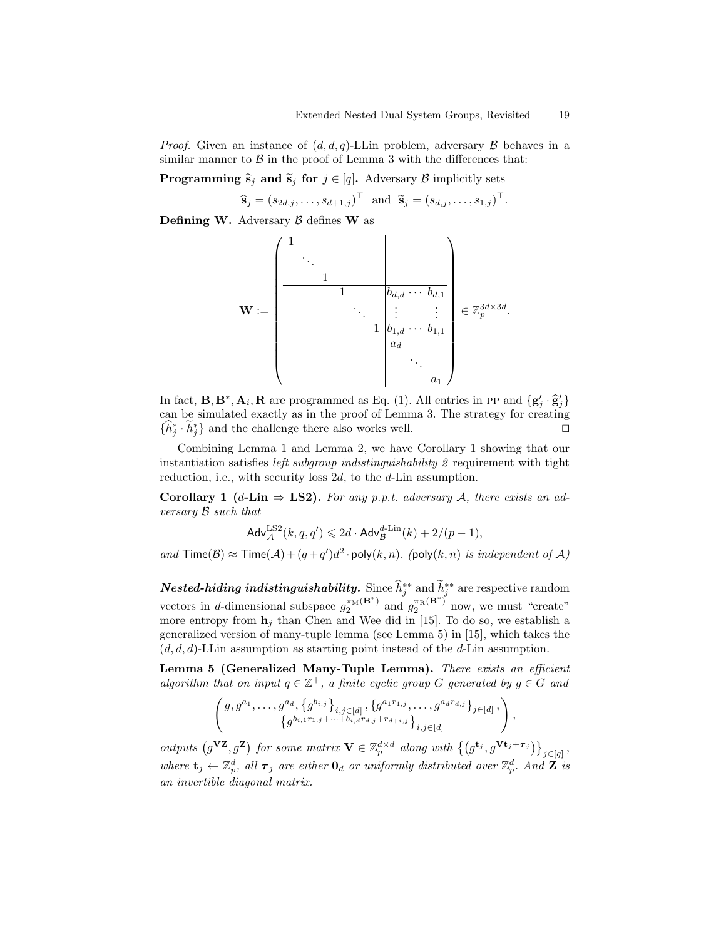*Proof.* Given an instance of  $(d, d, q)$ -LLin problem, adversary  $\beta$  behaves in a similar manner to  $\beta$  in the proof of Lemma 3 with the differences that:

**Programming**  $\hat{\mathbf{s}}_j$  and  $\tilde{\mathbf{s}}_j$  for  $j \in [q]$ . Adversary B implicitly sets

$$
\widehat{\mathbf{s}}_j = (s_{2d,j}, \ldots, s_{d+1,j})^\top \text{ and } \widetilde{\mathbf{s}}_j = (s_{d,j}, \ldots, s_{1,j})^\top.
$$

Defining W. Adversary  $\beta$  defines W as

$$
\mathbf{W} := \begin{pmatrix} 1 & & & & \\ & \ddots & & & & \\ & & 1 & & b_{d,d} \cdots b_{d,1} \\ & & \ddots & \vdots & \vdots \\ & & & 1 & b_{1,d} \cdots b_{1,1} \\ & & & & a_d \\ & & & & & \ddots \\ & & & & & a_1 \end{pmatrix} \in \mathbb{Z}_p^{3d \times 3d}.
$$

In fact,  $\mathbf{B}, \mathbf{B}^*, \mathbf{A}_i, \mathbf{R}$  are programmed as Eq. (1). All entries in PP and  $\{g'_j \cdot \hat{g}'_j\}$ can be simulated exactly as in the proof of Lemma 3. The strategy for creating  $\{\hat{h}_j^* \cdot \tilde{h}_j^*\}$  and the challenge there also works well. □

Combining Lemma 1 and Lemma 2, we have Corollary 1 showing that our instantiation satisfies *left subgroup indistinguishability*  $2$  requirement with tight reduction, i.e., with security loss 2d, to the d-Lin assumption.

Corollary 1 (d-Lin  $\Rightarrow$  LS2). For any p.p.t. adversary A, there exists an adversary B such that

$$
\mathsf{Adv}_{\mathcal{A}}^{\mathrm{LS2}}(k, q, q') \leq 2d \cdot \mathsf{Adv}_{\mathcal{B}}^{d\text{-Lin}}(k) + 2/(p-1),
$$

and  $\textsf{Time}(\mathcal{B}) \approx \textsf{Time}(\mathcal{A}) + (q + q')d^2 \cdot \textsf{poly}(k, n)$ . (poly $(k, n)$  is independent of  $\mathcal{A}$ )

**Nested-hiding indistinguishability.** Since  $\hat{h}_j^{**}$  and  $\tilde{h}_j^{**}$  are respective random vectors in d-dimensional subspace  $g_2^{\pi_M(B^*)}$  and  $g_2^{\pi_R(B^*)}$  now, we must "create" more entropy from  $\mathbf{h}_i$  than Chen and Wee did in [15]. To do so, we establish a generalized version of many-tuple lemma (see Lemma 5) in [15], which takes the  $(d, d, d)$ -LLin assumption as starting point instead of the d-Lin assumption.

Lemma 5 (Generalized Many-Tuple Lemma). There exists an efficient algorithm that on input  $q \in \mathbb{Z}^+$ , a finite cyclic group G generated by  $q \in G$  and

$$
\begin{pmatrix} g, g^{a_1}, \dots, g^{a_d}, \{g^{b_{i,j}}\}_{i,j \in [d]}, \{g^{a_1r_{1,j}}, \dots, g^{a_dr_{d,j}}\}_{j \in [d]}, \\ \{g^{b_{i,1}r_{1,j} + \dots + b_{i,d}r_{d,j} + r_{d+i,j}}\}_{i,j \in [d]} \end{pmatrix}
$$

,

outputs  $(g^{VZ}, g^{Z})$  for some matrix  $V \in \mathbb{Z}_{p}^{d \times d}$  along with  $\{(g^{t_j}, g^{Vt_j + \tau_j})\}_{j \in [q]},$ where  $\mathbf{t}_j \leftarrow \mathbb{Z}_p^d$ , all  $\boldsymbol{\tau}_j$  are either  $\mathbf{0}_d$  or uniformly distributed over  $\mathbb{Z}_p^d$ . And  $\mathbf{Z}$  is an invertible diagonal matrix.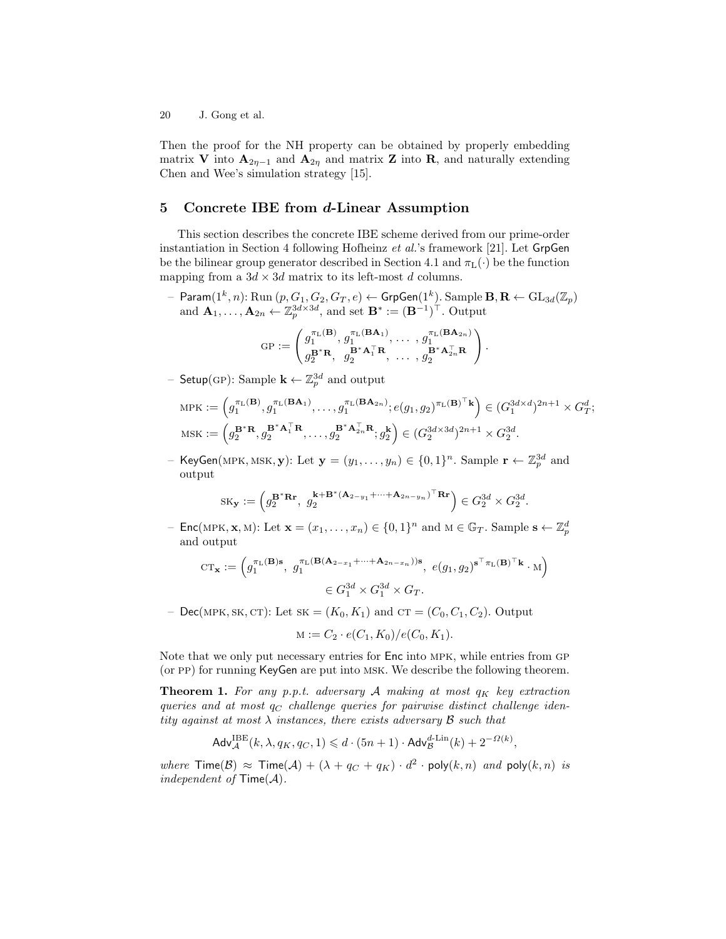Then the proof for the NH property can be obtained by properly embedding matrix V into  $\mathbf{A}_{2\eta-1}$  and  $\mathbf{A}_{2\eta}$  and matrix Z into R, and naturally extending Chen and Wee's simulation strategy [15].

# 5 Concrete IBE from d-Linear Assumption

This section describes the concrete IBE scheme derived from our prime-order instantiation in Section 4 following Hofheinz et al.'s framework [21]. Let GrpGen be the bilinear group generator described in Section 4.1 and  $\pi_L(\cdot)$  be the function mapping from a  $3d \times 3d$  matrix to its left-most d columns.

 $-$  Param $(1^k, n)$ : Run  $(p, G_1, G_2, G_T, e) \leftarrow \mathsf{GrpGen}(1^k)$ . Sample  $\mathbf{B}, \mathbf{R} \leftarrow \mathrm{GL}_{3d}(\mathbb{Z}_p)$ and  $\mathbf{A}_1, \ldots, \mathbf{A}_{2n} \leftarrow \mathbb{Z}_p^{3d \times 3d}$ , and set  $\mathbf{B}^* := (\mathbf{B}^{-1})^\top$ . Output

$$
\mathrm{GP} := \begin{pmatrix} g_1^{\pi_\mathrm{L}(\mathbf{B})},\,g_1^{\pi_\mathrm{L}(\mathbf{B}\mathbf{A}_1)},\,\ldots\,,\,g_1^{\pi_\mathrm{L}(\mathbf{B}\mathbf{A}_{2n})} \\ g_2^{\mathbf{B}^* \mathbf{R}},\quad g_2^{\mathbf{B}^* \mathbf{A}_1^\top \mathbf{R}},\,\,\ldots\,,\,g_2^{\mathbf{B}^* \mathbf{A}_{2n}^\top \mathbf{R}} \end{pmatrix}.
$$

- Setup(GP): Sample  $\mathbf{k} \leftarrow \mathbb{Z}_p^{3d}$  and output

$$
\begin{split} \text{MPK} &:= \left(g_1^{\pi_{\mathbf{L}}(\mathbf{B})}, g_1^{\pi_{\mathbf{L}}(\mathbf{B}\mathbf{A}_1)}, \ldots, g_1^{\pi_{\mathbf{L}}(\mathbf{B}\mathbf{A}_{2n})}; e(g_1, g_2)^{\pi_{\mathbf{L}}(\mathbf{B})^\top \mathbf{k}}\right) \in (G_1^{3d \times d})^{2n+1} \times G_T^d; \\ \text{MSK} &:= \left(g_2^{\mathbf{B}^* \mathbf{R}}, g_2^{\mathbf{B}^* \mathbf{A}_1^\top \mathbf{R}}, \ldots, g_2^{\mathbf{B}^* \mathbf{A}_{2n}^\top \mathbf{R}}; g_2^{\mathbf{k}}\right) \in (G_2^{3d \times 3d})^{2n+1} \times G_2^{3d}. \end{split}
$$

- KeyGen(MPK, MSK, **y**): Let  $\mathbf{y} = (y_1, \ldots, y_n) \in \{0, 1\}^n$ . Sample  $\mathbf{r} \leftarrow \mathbb{Z}_p^{3d}$  and output

$$
\mathrm{SK}_{\mathbf{y}} := \left(g_2^{\mathbf{B}^* \mathbf{R} \mathbf{r}}, g_2^{\mathbf{k} + \mathbf{B}^* (\mathbf{A}_{2-y_1} + \dots + \mathbf{A}_{2n-y_n})^\top \mathbf{R} \mathbf{r}}\right) \in G_2^{3d} \times G_2^{3d}.
$$

- Enc(MPK, **x**, M): Let  $\mathbf{x} = (x_1, \dots, x_n) \in \{0, 1\}^n$  and  $M \in \mathbb{G}_T$ . Sample  $\mathbf{s} \leftarrow \mathbb{Z}_p^d$ and output

$$
CT_{\mathbf{x}} := \left(g_1^{\pi_L(\mathbf{B})\mathbf{s}}, g_1^{\pi_L(\mathbf{B}(\mathbf{A}_{2-x_1} + \dots + \mathbf{A}_{2n-x_n}))\mathbf{s}}, e(g_1, g_2)^{\mathbf{s}^\top \pi_L(\mathbf{B})^\top \mathbf{k}} \cdot M\right) \newline \in G_1^{3d} \times G_1^{3d} \times G_T.
$$

– Dec(MPK, SK, CT): Let  $SK = (K_0, K_1)$  and  $CT = (C_0, C_1, C_2)$ . Output

$$
M := C_2 \cdot e(C_1, K_0) / e(C_0, K_1).
$$

Note that we only put necessary entries for Enc into mpk, while entries from gp (or pp) for running KeyGen are put into msk. We describe the following theorem.

**Theorem 1.** For any p.p.t. adversary A making at most  $q_K$  key extraction queries and at most  $q_C$  challenge queries for pairwise distinct challenge identity against at most  $\lambda$  instances, there exists adversary  $\beta$  such that

$$
\mathsf{Adv}_{\mathcal{A}}^{\mathsf{IBE}}(k, \lambda, q_K, q_C, 1) \leq d \cdot (5n + 1) \cdot \mathsf{Adv}_{\mathcal{B}}^{d \text{-Lin}}(k) + 2^{-\Omega(k)}
$$

,

where  $\textsf{Time}(\mathcal{B}) \approx \textsf{Time}(\mathcal{A}) + (\lambda + q_C + q_K) \cdot d^2 \cdot \textsf{poly}(k,n)$  and  $\textsf{poly}(k,n)$  is independent of  $\mathsf{Time}(\mathcal{A})$ .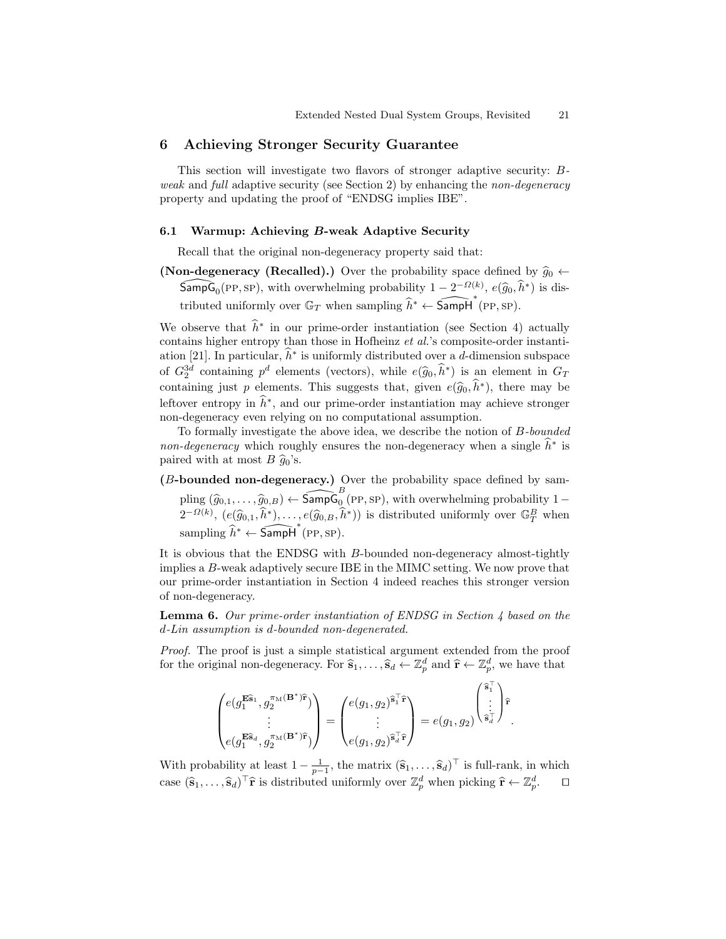# 6 Achieving Stronger Security Guarantee

This section will investigate two flavors of stronger adaptive security: Bweak and full adaptive security (see Section 2) by enhancing the non-degeneracy property and updating the proof of "ENDSG implies IBE".

#### 6.1 Warmup: Achieving B-weak Adaptive Security

Recall that the original non-degeneracy property said that:

(Non-degeneracy (Recalled).) Over the probability space defined by  $\hat{g}_0 \leftarrow$  $\widehat{\textsf{SampG}}_0(\text{PP}, \text{SP})$ , with overwhelming probability  $1 - 2^{-\Omega(k)}$ ,  $e(\widehat{g}_0, \widehat{h}^*)$  is distributed uniformly over  $\mathbb{G}_T$  when sampling  $\hat{h}^* \leftarrow \widehat{\textsf{Sampl}}^*(\text{PP}, \text{SP}).$ 

We observe that  $\hat{h}^*$  in our prime-order instantiation (see Section 4) actually contains higher entropy than those in Hofheinz et al.'s composite-order instantiation [21]. In particular,  $\hat{h}^*$  is uniformly distributed over a d-dimension subspace of  $G_2^{3d}$  containing  $p^d$  elements (vectors), while  $e(\widehat{g}_0, \widehat{h}^*)$  is an element in  $G_T$ <br>containing in the planette. This supports that gives  $e(\widehat{\lambda}, \widehat{h}^*)$  there were help containing just p elements. This suggests that, given  $e(\hat{g}_0, \hat{h}^*)$ , there may be leftover entropy in  $\hat{h}^*$ , and our prime-order instantiation may achieve stronger non-degeneracy even relying on no computational assumption.

To formally investigate the above idea, we describe the notion of B-bounded non-degeneracy which roughly ensures the non-degeneracy when a single  $\hat{h}^*$  is paired with at most  $B \hat{g}_0$ 's.

(B-bounded non-degeneracy.) Over the probability space defined by sampling  $(\widehat{g}_{0,1}, \ldots, \widehat{g}_{0,B}) \leftarrow \widehat{\text{SampG}}_0^B(\text{PP}, \text{SP})$ , with overwhelming probability  $1 - \frac{1}{2}$  $2^{-\Omega(k)}$ ,  $(e(\widehat{g}_{0,1}, \widehat{h}^*), \ldots, e(\widehat{g}_{0,B}, \widehat{h}^*))$  is distributed uniformly over  $\mathbb{G}_T^B$  when sampling  $\hat{h}^* \leftarrow \widehat{\mathsf{SampH}}^*(\text{PP}, \text{SP}).$ 

It is obvious that the ENDSG with B-bounded non-degeneracy almost-tightly implies a B-weak adaptively secure IBE in the MIMC setting. We now prove that our prime-order instantiation in Section 4 indeed reaches this stronger version of non-degeneracy.

**Lemma 6.** Our prime-order instantiation of ENDSG in Section 4 based on the d-Lin assumption is d-bounded non-degenerated.

Proof. The proof is just a simple statistical argument extended from the proof for the original non-degeneracy. For  $\hat{\mathbf{s}}_1, \ldots, \hat{\mathbf{s}}_d \leftarrow \mathbb{Z}_p^d$  and  $\hat{\mathbf{r}} \leftarrow \mathbb{Z}_p^d$ , we have that

$$
\begin{pmatrix} e(g_1^{\mathbf{E}\widehat{\mathbf{s}}_1},g_2^{\pi_\mathrm{M}(\mathbf{B}^*)\widehat{\mathbf{r}}}) \\ \vdots \\ e(g_1^{\mathbf{E}\widehat{\mathbf{s}}_d},g_2^{\pi_\mathrm{M}(\mathbf{B}^*)\widehat{\mathbf{r}}}) \end{pmatrix} = \begin{pmatrix} e(g_1,g_2)^{\widehat{\mathbf{s}}_1^\top\widehat{\mathbf{r}}} \\ \vdots \\ e(g_1,g_2)^{\widehat{\mathbf{s}}_d^\top\widehat{\mathbf{r}}} \end{pmatrix} = e(g_1,g_2)^{\begin{pmatrix} \widehat{\mathbf{s}}_1^\top \\ \vdots \\ \widehat{\mathbf{s}}_d^\top \end{pmatrix} \widehat{\mathbf{r}}}\,.
$$

With probability at least  $1 - \frac{1}{p-1}$ , the matrix  $(\hat{\mathbf{s}}_1, \dots, \hat{\mathbf{s}}_d)^\top$  is full-rank, in which case  $(\hat{\mathbf{s}}_1,\ldots,\hat{\mathbf{s}}_d)^\top \hat{\mathbf{r}}$  is distributed uniformly over  $\mathbb{Z}_p^d$  when picking  $\hat{\mathbf{r}} \leftarrow \mathbb{Z}_p^d$  $\Box$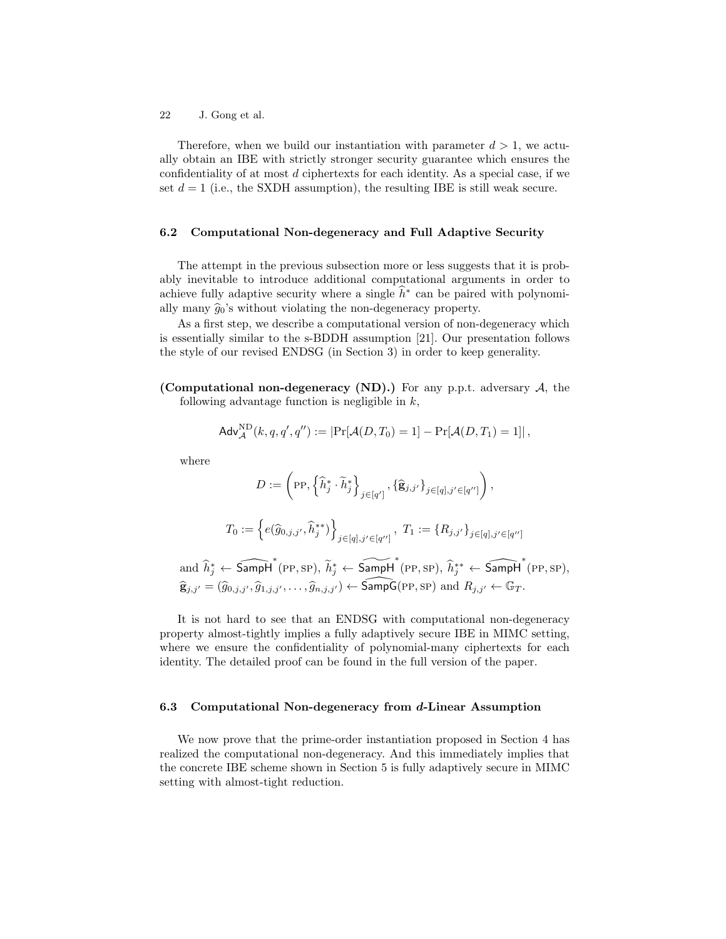Therefore, when we build our instantiation with parameter  $d > 1$ , we actually obtain an IBE with strictly stronger security guarantee which ensures the confidentiality of at most  $d$  ciphertexts for each identity. As a special case, if we set  $d = 1$  (i.e., the SXDH assumption), the resulting IBE is still weak secure.

### 6.2 Computational Non-degeneracy and Full Adaptive Security

The attempt in the previous subsection more or less suggests that it is probably inevitable to introduce additional computational arguments in order to achieve fully adaptive security where a single  $\hat{h}^*$  can be paired with polynomially many  $\hat{g}_0$ 's without violating the non-degeneracy property.

As a first step, we describe a computational version of non-degeneracy which is essentially similar to the s-BDDH assumption [21]. Our presentation follows the style of our revised ENDSG (in Section 3) in order to keep generality.

(Computational non-degeneracy (ND).) For any p.p.t. adversary  $A$ , the following advantage function is negligible in  $k$ ,

$$
\mathsf{Adv}_{\mathcal{A}}^{\mathrm{ND}}(k,q,q',q'') := \left| \Pr[\mathcal{A}(D,T_0) = 1] - \Pr[\mathcal{A}(D,T_1) = 1] \right|,
$$

where

$$
D := \left(\text{PP}, \left\{\widehat{h}_j^*, \widetilde{h}_j^*\right\}_{j \in [q']}, \left\{\widehat{\mathbf{g}}_{j,j'}\right\}_{j \in [q], j' \in [q'']}\right),
$$

$$
T_0 := \left\{e(\widehat{g}_{0,j,j'}, \widehat{h}_j^{**})\right\}_{j \in [q], j' \in [q'']}, T_1 := \left\{R_{j,j'}\right\}_{j \in [q], j' \in [q'']} \text{and } \widehat{h}_j^* \leftarrow \widehat{\text{SampH}} \left(\text{PP}, \text{SP}\right), \widetilde{h}_j^* \leftarrow \widehat{\text{SampH}} \left(\text{PP}, \text{SP}\right), \widehat{h}_j^{**} \leftarrow \widehat{\text{SampH}} \left(\text{PP}, \text{SP}\right),
$$

$$
\widehat{\mathbf{g}}_{j,j'} = (\widehat{g}_{0,j,j'}, \widehat{g}_{1,j,j'}, \dots, \widehat{g}_{n,j,j'}) \leftarrow \widehat{\text{SampG}}(\text{PP}, \text{SP}) \text{ and } R_{j,j'} \leftarrow \mathbb{G}_T.
$$

It is not hard to see that an ENDSG with computational non-degeneracy property almost-tightly implies a fully adaptively secure IBE in MIMC setting, where we ensure the confidentiality of polynomial-many ciphertexts for each identity. The detailed proof can be found in the full version of the paper.

#### 6.3 Computational Non-degeneracy from d-Linear Assumption

We now prove that the prime-order instantiation proposed in Section 4 has realized the computational non-degeneracy. And this immediately implies that the concrete IBE scheme shown in Section 5 is fully adaptively secure in MIMC setting with almost-tight reduction.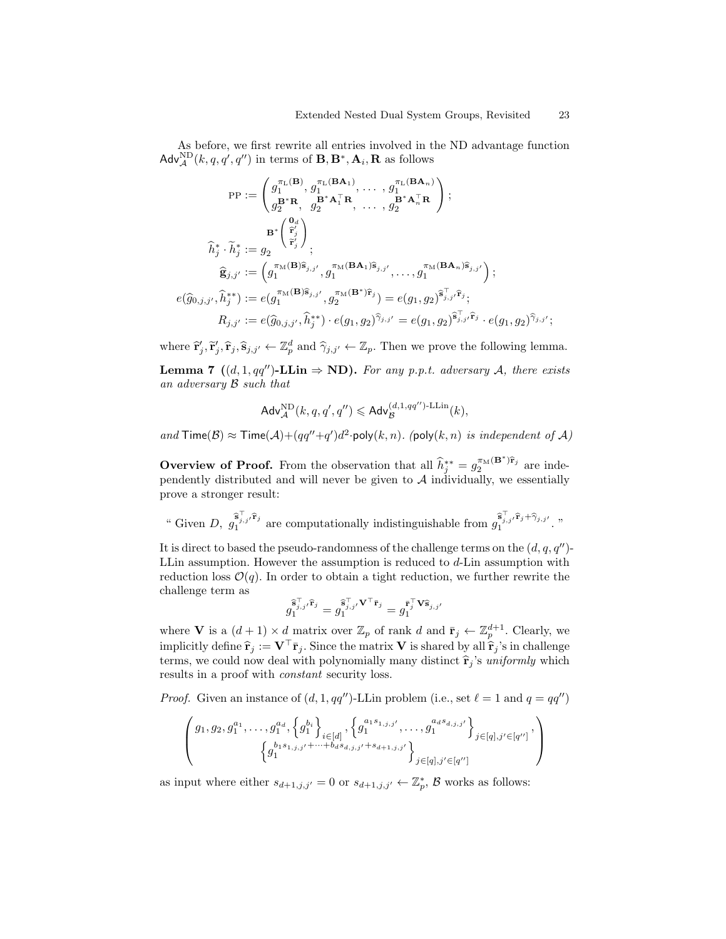As before, we first rewrite all entries involved in the ND advantage function  $\mathsf{Adv}_{\mathcal{A}}^{\rm ND}(k,q,q',q'')$  in terms of  $\mathbf{B}, \mathbf{B}^*, \mathbf{A}_i, \mathbf{R}$  as follows

$$
\text{PP} := \begin{pmatrix} g_1^{\pi_L(\mathbf{B})}, g_1^{\pi_L(\mathbf{BA}_1)}, \dots, g_1^{\pi_L(\mathbf{BA}_n)} \\ g_2^{\mathbf{B}^* \mathbf{R}}, g_2^{\mathbf{B}^* \mathbf{A}_1^{\top} \mathbf{R}}, \dots, g_2^{\mathbf{B}^* \mathbf{A}_n^{\top} \mathbf{R}} \end{pmatrix};
$$
  

$$
\widehat{h}_j^* \cdot \widetilde{h}_j^* := g_2 \qquad \qquad \mathbf{B}^* \begin{pmatrix} \mathbf{0}_d \\ \widehat{\mathbf{r}}'_j \\ \widehat{\mathbf{r}}'_j \end{pmatrix};
$$
  

$$
\widehat{\mathbf{g}}_{j,j'} := \begin{pmatrix} \sigma_{1}^{\pi_M(\mathbf{B})\widehat{\mathbf{s}}_{j,j'}}, g_1^{\pi_M(\mathbf{BA}_1)\widehat{\mathbf{s}}_{j,j'}}, \dots, g_1^{\pi_M(\mathbf{BA}_n)\widehat{\mathbf{s}}_{j,j'}} \end{pmatrix};
$$
  

$$
e(\widehat{g}_{0,j,j'}, \widehat{h}_j^{**}) := e(g_1^{\pi_M(\mathbf{B})\widehat{\mathbf{s}}_{j,j'}}, g_2^{\pi_M(\mathbf{B}^*)\widehat{\mathbf{r}}_j}) = e(g_1, g_2)^{\widehat{\mathbf{s}}_{j,j'}^{\top} \widehat{\mathbf{r}}_j};
$$
  

$$
R_{j,j'} := e(\widehat{g}_{0,j,j'}, \widehat{h}_j^{**}) \cdot e(g_1, g_2)^{\widehat{\gamma}_{j,j'}} = e(g_1, g_2)^{\widehat{\mathbf{s}}_{j,j'}^{\top} \widehat{\mathbf{r}}_j} \cdot e(g_1, g_2)^{\widehat{\gamma}_{j,j'}};
$$

where  $\hat{\mathbf{r}}'_j, \hat{\mathbf{r}}_j, \hat{\mathbf{s}}_{j,j'} \leftarrow \mathbb{Z}_p^d$  and  $\hat{\gamma}_{j,j'} \leftarrow \mathbb{Z}_p$ . Then we prove the following lemma.

**Lemma 7** ((d, 1, qq'')-**LLin**  $\Rightarrow$  **ND).** For any p.p.t. adversary A, there exists an adversary B such that

$$
\mathsf{Adv}_{\mathcal{A}}^{\rm ND}(k,q,q',q'') \leqslant \mathsf{Adv}_{\mathcal{B}}^{(d,1,qq'')\text{-LLin}}(k),
$$

and  $\textsf{Time}(\mathcal{B}) \approx \textsf{Time}(\mathcal{A}) + (qq''+q')d^2 \cdot \textsf{poly}(k,n)$ . (poly $(k,n)$  is independent of  $\mathcal{A}$ )

**Overview of Proof.** From the observation that all  $\hat{h}^{**}_{j} = g_{2}^{\pi_{\text{M}}(\mathbf{B}^{*})\hat{\mathbf{r}}_{j}}$  are independently distributed and will never be given to  $A$  individually, we essentially prove a stronger result:

" Given D,  $g_1^{\widehat{\mathbf{s}}_{j,j}^{\top},\widehat{\mathbf{r}}_j}$  are computationally indistinguishable from  $g_1^{\widehat{\mathbf{s}}_{j,j}^{\top},\widehat{\mathbf{r}}_j+\widehat{\gamma}_{j,j'}}$ ."

It is direct to based the pseudo-randomness of the challenge terms on the  $(d, q, q'')$ -LLin assumption. However the assumption is reduced to  $d$ -Lin assumption with reduction loss  $\mathcal{O}(q)$ . In order to obtain a tight reduction, we further rewrite the challenge term as

$$
\widehat{\mathbf{g}}_{1}^{\widehat{\mathbf{s}}_{j,j}^{\top}\cap\widehat{\mathbf{r}}_j}= \widehat{\mathbf{g}}_{1}^{\top},\mathbf{y}^{\top}\bar{\mathbf{r}}_j}= \mathbf{g}_1^{\bar{\mathbf{r}}_j^{\top}\mathbf{V}\widehat{\mathbf{s}}_{j,j'}}
$$

where **V** is a  $(d+1) \times d$  matrix over  $\mathbb{Z}_p$  of rank d and  $\bar{\mathbf{r}}_j \leftarrow \mathbb{Z}_p^{d+1}$ . Clearly, we implicitly define  $\hat{\mathbf{r}}_i := \mathbf{V}^\top \bar{\mathbf{r}}_i$ . Since the matrix **V** is shared by all  $\hat{\mathbf{r}}_i$ 's in challenge terms, we could now deal with polynomially many distinct  $\hat{\mathbf{r}}_j$ 's uniformly which results in a proof with constant security loss.

*Proof.* Given an instance of  $(d, 1, qq'')$ -LLin problem (i.e., set  $\ell = 1$  and  $q = qq'$ )

$$
\begin{pmatrix} g_1, g_2, g_1^{a_1}, \dots, g_1^{a_d}, \left\{g_1^{b_i}\right\}_{i \in [d]}, \left\{g_1^{a_1s_{1,j,j'}}, \dots, g_1^{a_d s_{d,j,j'}}\right\}_{j \in [q], j' \in [q'']}, \\ \left\{g_1^{b_1s_{1,j,j'} + \dots + b_d s_{d,j,j'} + s_{d+1,j,j'}}\right\}_{j \in [q], j' \in [q'']} \end{pmatrix}
$$

as input where either  $s_{d+1,j,j'} = 0$  or  $s_{d+1,j,j'} \leftarrow \mathbb{Z}_p^*$ ,  $\mathcal{B}$  works as follows: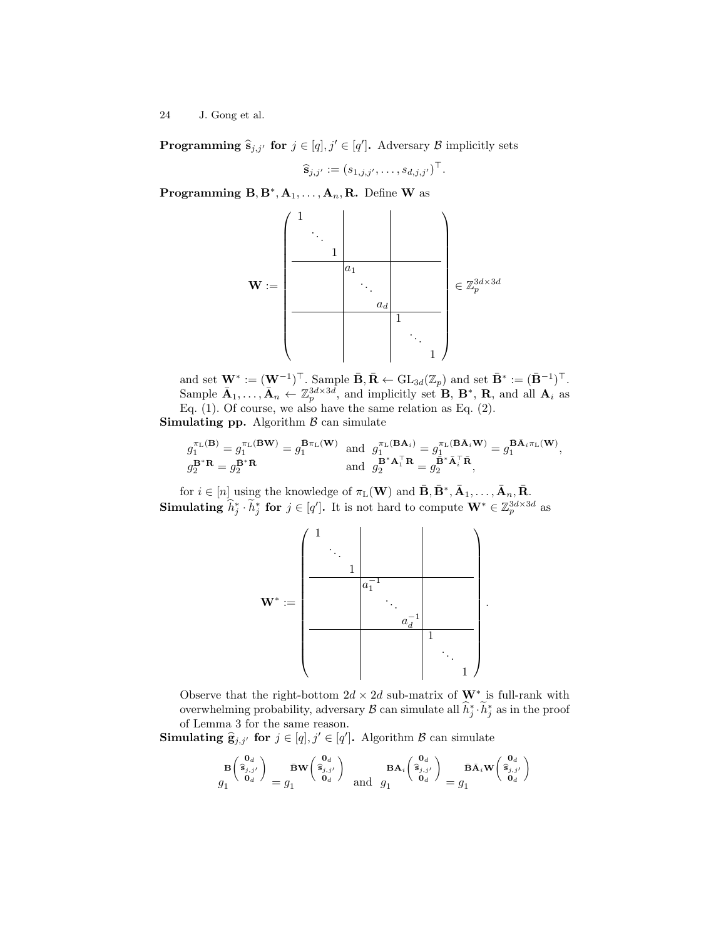**Programming**  $\hat{\mathbf{s}}_{j,j'}$  for  $j \in [q], j' \in [q']$ . Adversary  $\mathcal{B}$  implicitly sets

$$
\widehat{\mathbf{s}}_{j,j'} := (s_{1,j,j'}, \ldots, s_{d,j,j'})^\top.
$$

Programming  $B, B^*, A_1, \ldots, A_n, R$ . Define W as



and set  $\mathbf{W}^* := (\mathbf{W}^{-1})^\top$ . Sample  $\bar{\mathbf{B}}, \bar{\mathbf{R}} \leftarrow \text{GL}_{3d}(\mathbb{Z}_p)$  and set  $\bar{\mathbf{B}}^* := (\bar{\mathbf{B}}^{-1})^\top$ . Sample  $\bar{\mathbf{A}}_1, \ldots, \bar{\mathbf{A}}_n \leftarrow \mathbb{Z}_p^{3d \times 3d}$ , and implicitly set  $\mathbf{B}, \mathbf{B}^*, \mathbf{R}$ , and all  $\mathbf{A}_i$  as Eq. (1). Of course, we also have the same relation as Eq. (2). **Simulating pp.** Algorithm  $\beta$  can simulate

$$
\begin{array}{ll} g_1^{\pi_\mathrm{L}(\mathbf{B})} = g_1^{\pi_\mathrm{L}(\bar{\mathbf{B}}\mathbf{W})} = g_1^{\bar{\mathbf{B}}\pi_\mathrm{L}(\mathbf{W})} & \mathrm{and} \ \ g_1^{\pi_\mathrm{L}(\mathbf{B}\mathbf{A}_i)} = g_1^{\pi_\mathrm{L}(\bar{\mathbf{B}}\bar{\mathbf{A}}_i\mathbf{W})} = g_1^{\bar{\mathbf{B}}\bar{\mathbf{A}}_i\pi_\mathrm{L}(\mathbf{W})}, \\ g_2^{\mathbf{B}^*\mathbf{R}} = g_2^{\bar{\mathbf{B}}^*\bar{\mathbf{R}}} & \mathrm{and} \ \ g_2^{\mathbf{B}^*\mathbf{A}_1^\top\mathbf{R}} = g_2^{\bar{\mathbf{B}}^*\bar{\mathbf{A}}_i^\top\bar{\mathbf{R}}}, \end{array}
$$

for  $i \in [n]$  using the knowledge of  $\pi_L(\mathbf{W})$  and  $\bar{\mathbf{B}}, \bar{\mathbf{B}}^*, \bar{\mathbf{A}}_1, \ldots, \bar{\mathbf{A}}_n, \bar{\mathbf{R}}.$ Simulating  $\widehat{h}^*_j \cdot \widetilde{h}^*_j$  for  $j \in [q']$ . It is not hard to compute  $\mathbf{W}^* \in \mathbb{Z}_p^{3d \times 3d}$  as



Observe that the right-bottom  $2d \times 2d$  sub-matrix of  $W^*$  is full-rank with overwhelming probability, adversary  $\mathcal B$  can simulate all  $\hat h_j^* \cdot \tilde h_j^*$  as in the proof of Lemma 3 for the same reason.

**Simulating**  $\hat{\mathbf{g}}_{j,j'}$  for  $j \in [q], j' \in [q']$ . Algorithm  $\mathcal{B}$  can simulate

$$
\frac{\mathbf{B}\begin{pmatrix} \mathbf{0}_d \\ \hat{\mathbf{s}}_{j,j'} \\ \mathbf{0}_d \end{pmatrix}}{g_1} = \frac{\bar{\mathbf{B}}\mathbf{W}\begin{pmatrix} \mathbf{0}_d \\ \hat{\mathbf{s}}_{j,j'} \\ \mathbf{0}_d \end{pmatrix}}{\mathbf{B}\mathbf{A}}_i \begin{pmatrix} \mathbf{0}_d \\ \hat{\mathbf{s}}_{j,j'} \\ \mathbf{0}_d \end{pmatrix} = \frac{\bar{\mathbf{B}}\bar{\mathbf{A}}_i\mathbf{W}\begin{pmatrix} \mathbf{0}_d \\ \hat{\mathbf{s}}_{j,j'} \\ \mathbf{0}_d \end{pmatrix}}{g_1} = g_1
$$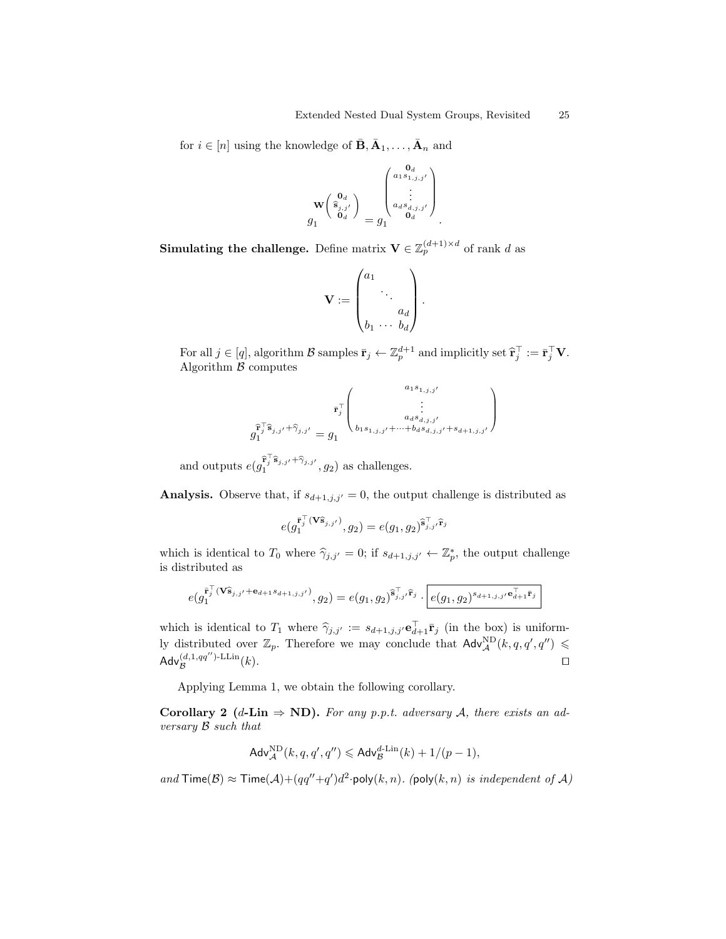for  $i \in [n]$  using the knowledge of  $\bar{\mathbf{B}}, \bar{\mathbf{A}}_1, \ldots, \bar{\mathbf{A}}_n$  and

$$
\mathbf{w}\begin{pmatrix} \mathbf{0}_d \\ \widehat{\mathbf{s}}_{j,j'} \\ \mathbf{0}_d \end{pmatrix} = g_1 \begin{pmatrix} \mathbf{0}_d \\ \vdots \\ \mathbf{0}_d \mathbf{s}_{d,j,j'} \\ \mathbf{0}_d \mathbf{s}_{d,j,j'} \\ \mathbf{0}_d \end{pmatrix}.
$$

**Simulating the challenge.** Define matrix  $\mathbf{V} \in \mathbb{Z}_p^{(d+1) \times d}$  of rank d as

$$
\mathbf{V} := \begin{pmatrix} a_1 & & \\ & \ddots & \\ & & a_d \\ b_1 & \cdots & b_d \end{pmatrix}.
$$

For all  $j \in [q]$ , algorithm  $\mathcal{B}$  samples  $\bar{\mathbf{r}}_j \leftarrow \mathbb{Z}_p^{d+1}$  and implicitly set  $\hat{\mathbf{r}}_j^{\top} := \bar{\mathbf{r}}_j^{\top} \mathbf{V}$ . Algorithm  $\beta$  computes

$$
\bar{\mathbf{r}}_j^{\top} \mathbf{\hat{s}}_{j,j'} + \widehat{\gamma}_{j,j'} = g_1 \begin{pmatrix} a_1 s_{1,j,j'} & \\ \vdots & \\ a_d s_{d,j,j'} & \\ b_1 s_{1,j,j'} + \dots + b_d s_{d,j,j'} + s_{d+1,j,j'} \end{pmatrix}
$$

and outputs  $e(g_1^{\widehat{\mathbf{r}}_j^{\top} \widehat{\mathbf{s}}_{j,j'} + \widehat{\gamma}_{j,j'}}, g_2)$  as challenges.

**Analysis.** Observe that, if  $s_{d+1,j,j'} = 0$ , the output challenge is distributed as

$$
e(g_1^{\overline{\mathbf{r}}_j^\top(\mathbf{V}\widehat{\mathbf{s}}_{j,j'})},g_2)=e(g_1,g_2)^{\widehat{\mathbf{s}}_{j,j'}^\top\widehat{\mathbf{r}}_j}
$$

which is identical to  $T_0$  where  $\hat{\gamma}_{j,j'} = 0$ ; if  $s_{d+1,j,j'} \leftarrow \mathbb{Z}_p^*$ , the output challenge is distributed as

$$
e(g_1^{\bar{\mathbf{r}}_j^{\top}}(\mathbf{V}\hat{\mathbf{s}}_{j,j'}+\mathbf{e}_{d+1}s_{d+1,j,j'}), g_2) = e(g_1,g_2)^{\widehat{\mathbf{s}}_{j,j'}^{\top}\widehat{\mathbf{r}}_j} \cdot \boxed{e(g_1,g_2)^{s_{d+1,j,j'}\mathbf{e}_{d+1}^{\top}\overline{\mathbf{r}}_j}}
$$

which is identical to  $T_1$  where  $\hat{\gamma}_{j,j'} := s_{d+1,j,j'} \mathbf{e}_{d+1}^{\top} \mathbf{F}_j$  (in the box) is uniformly distributed over  $\mathbb{Z}_p$ . Therefore we may conclude that  $\mathsf{Adv}_{\mathcal{A}}^{\text{ND}}(k, q, q', q'') \leq$  $\mathsf{Adv}_{\mathcal{B}}^{(d,1,qq'')\text{-LLin}}$  $(k).$ 

Applying Lemma 1, we obtain the following corollary.

Corollary 2 (d-Lin  $\Rightarrow$  ND). For any p.p.t. adversary A, there exists an adversary B such that

$$
\mathsf{Adv}_{\mathcal{A}}^{\rm ND}(k,q,q',q'') \leqslant \mathsf{Adv}_{\mathcal{B}}^{d\text{-Lin}}(k) + 1/(p-1),
$$

and  $\textsf{Time}(\mathcal{B}) \approx \textsf{Time}(\mathcal{A}) + (qq''+q')d^2 \cdot \textsf{poly}(k,n)$ . (poly $(k,n)$  is independent of  $\mathcal{A}$ )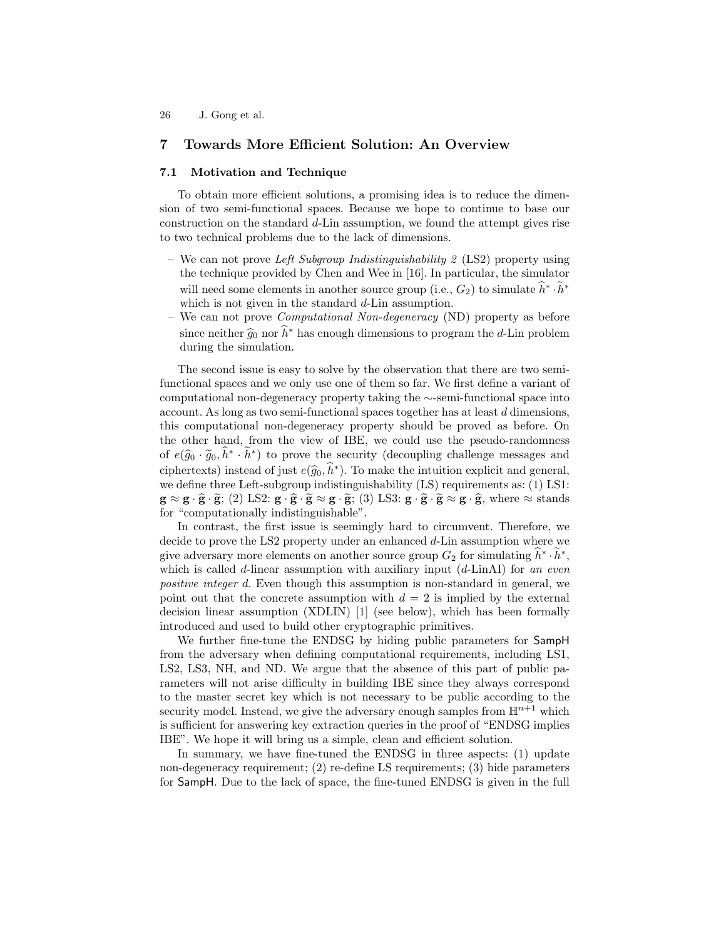# 7 Towards More Efficient Solution: An Overview

### 7.1 Motivation and Technique

To obtain more efficient solutions, a promising idea is to reduce the dimension of two semi-functional spaces. Because we hope to continue to base our construction on the standard d-Lin assumption, we found the attempt gives rise to two technical problems due to the lack of dimensions.

- We can not prove Left Subgroup Indistinguishability 2 (LS2) property using the technique provided by Chen and Wee in [16]. In particular, the simulator will need some elements in another source group (i.e.,  $G_2$ ) to simulate  $\hat{h}^* \cdot \tilde{h}^*$ which is not given in the standard d-Lin assumption.
- We can not prove Computational Non-degeneracy (ND) property as before since neither  $\hat{g}_0$  nor  $\hat{h}^*$  has enough dimensions to program the d-Lin problem<br>during the simulation during the simulation.

The second issue is easy to solve by the observation that there are two semifunctional spaces and we only use one of them so far. We first define a variant of computational non-degeneracy property taking the ∼-semi-functional space into account. As long as two semi-functional spaces together has at least d dimensions, this computational non-degeneracy property should be proved as before. On the other hand, from the view of IBE, we could use the pseudo-randomness of  $e(\hat{g}_0 \cdot \tilde{g}_0, \hat{h}^* \cdot \tilde{h}^*)$  to prove the security (decoupling challenge messages and ciphertexts) instead of just  $e(\hat{g}_0, \hat{h}^*)$ . To make the intuition explicit and general,<br>we define three Left subgroup indictinguishability (LS) requirements as: (1) LS1. we define three Left-subgroup indistinguishability (LS) requirements as: (1) LS1:  $g \approx g \cdot \hat{g} \cdot \tilde{g}$ ; (2) LS2:  $g \cdot \hat{g} \cdot \tilde{g} \approx g \cdot \tilde{g}$ ; (3) LS3:  $g \cdot \hat{g} \cdot \tilde{g} \approx g \cdot \hat{g}$ , where  $\approx$  stands for "computationally indistinguishable".

In contrast, the first issue is seemingly hard to circumvent. Therefore, we decide to prove the LS2 property under an enhanced  $d$ -Lin assumption where we give adversary more elements on another source group  $G_2$  for simulating  $\hat{h}^* \cdot \tilde{h}^*$ , which is called d-linear assumption with auxiliary input  $(d\text{-}LinkI)$  for an even positive integer d. Even though this assumption is non-standard in general, we point out that the concrete assumption with  $d = 2$  is implied by the external decision linear assumption (XDLIN) [1] (see below), which has been formally introduced and used to build other cryptographic primitives.

We further fine-tune the ENDSG by hiding public parameters for SampH from the adversary when defining computational requirements, including LS1, LS2, LS3, NH, and ND. We argue that the absence of this part of public parameters will not arise difficulty in building IBE since they always correspond to the master secret key which is not necessary to be public according to the security model. Instead, we give the adversary enough samples from  $\mathbb{H}^{n+1}$  which is sufficient for answering key extraction queries in the proof of "ENDSG implies IBE". We hope it will bring us a simple, clean and efficient solution.

In summary, we have fine-tuned the ENDSG in three aspects: (1) update non-degeneracy requirement; (2) re-define LS requirements; (3) hide parameters for SampH. Due to the lack of space, the fine-tuned ENDSG is given in the full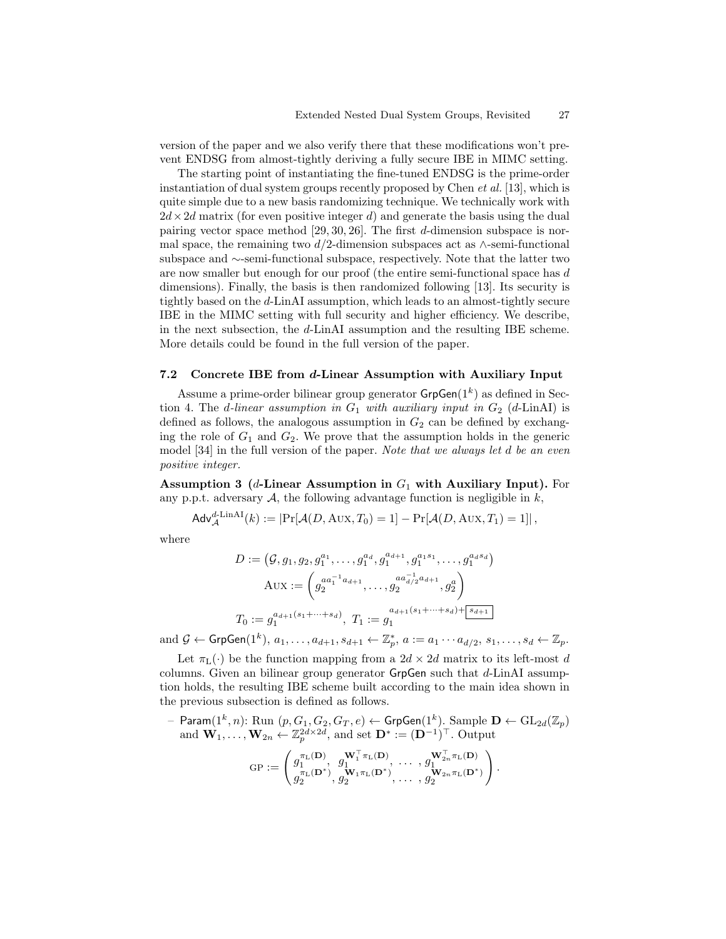version of the paper and we also verify there that these modifications won't prevent ENDSG from almost-tightly deriving a fully secure IBE in MIMC setting.

The starting point of instantiating the fine-tuned ENDSG is the prime-order instantiation of dual system groups recently proposed by Chen et al. [13], which is quite simple due to a new basis randomizing technique. We technically work with  $2d \times 2d$  matrix (for even positive integer d) and generate the basis using the dual pairing vector space method [29, 30, 26]. The first d-dimension subspace is normal space, the remaining two d/2-dimension subspaces act as  $\wedge$ -semi-functional subspace and ∼-semi-functional subspace, respectively. Note that the latter two are now smaller but enough for our proof (the entire semi-functional space has d dimensions). Finally, the basis is then randomized following [13]. Its security is tightly based on the d-LinAI assumption, which leads to an almost-tightly secure IBE in the MIMC setting with full security and higher efficiency. We describe, in the next subsection, the d-LinAI assumption and the resulting IBE scheme. More details could be found in the full version of the paper.

#### 7.2 Concrete IBE from d-Linear Assumption with Auxiliary Input

Assume a prime-order bilinear group generator  $\mathsf{GrpGen}(1^k)$  as defined in Section 4. The *d*-linear assumption in  $G_1$  with auxiliary input in  $G_2$  (*d*-LinAI) is defined as follows, the analogous assumption in  $G_2$  can be defined by exchanging the role of  $G_1$  and  $G_2$ . We prove that the assumption holds in the generic model [34] in the full version of the paper. Note that we always let d be an even positive integer.

Assumption 3 (*d*-Linear Assumption in  $G_1$  with Auxiliary Input). For any p.p.t. adversary  $A$ , the following advantage function is negligible in  $k$ ,

$$
\mathsf{Adv}_{\mathcal{A}}^{d\text{-LinAI}}(k) := \left| \Pr[\mathcal{A}(D, \text{Aux}, T_0) = 1] - \Pr[\mathcal{A}(D, \text{Aux}, T_1) = 1] \right|,
$$

where

$$
D := (\mathcal{G}, g_1, g_2, g_1^{a_1}, \dots, g_1^{a_d}, g_1^{a_{d+1}}, g_1^{a_1 s_1}, \dots, g_1^{a_d s_d})
$$
  
\n
$$
A \text{UX} := \left( g_2^{a a_1^{-1} a_{d+1}}, \dots, g_2^{a a_{d/2}^{-1} a_{d+1}}, g_2^{a} \right)
$$
  
\n
$$
T_0 := g_1^{a_{d+1}(s_1 + \dots + s_d)}, \ T_1 := g_1^{a_{d+1}(s_1 + \dots + s_d) + \boxed{s_{d+1}}}
$$

and  $\mathcal{G} \leftarrow \mathsf{GrpGen}(1^k), a_1, \ldots, a_{d+1}, s_{d+1} \leftarrow \mathbb{Z}_p^*, a := a_1 \cdots a_{d/2}, s_1, \ldots, s_d \leftarrow \mathbb{Z}_p.$ 

Let  $\pi_L(\cdot)$  be the function mapping from a  $2d \times 2d$  matrix to its left-most d columns. Given an bilinear group generator GrpGen such that  $d$ -LinAI assumption holds, the resulting IBE scheme built according to the main idea shown in the previous subsection is defined as follows.

 $-$  Param $(1^k, n)$ : Run  $(p, G_1, G_2, G_T, e) \leftarrow \mathsf{GrpGen}(1^k)$ . Sample  $\mathbf{D} \leftarrow \mathrm{GL}_{2d}(\mathbb{Z}_p)$ and  $\mathbf{W}_1, \ldots, \mathbf{W}_{2n} \leftarrow \mathbb{Z}_p^{2d \times 2d}$ , and set  $\mathbf{D}^* := (\mathbf{D}^{-1})^{\top}$ . Output

$$
GP := \begin{pmatrix} g_1^{\pi_L(\mathbf{D})}, & g_1^{\mathbf{W}_1^{\top}\pi_L(\mathbf{D})}, & \dots, & g_1^{\mathbf{W}_{2n}^{\top}\pi_L(\mathbf{D})} \\ g_2^{\pi_L(\mathbf{D}^*)}, & g_2^{\mathbf{W}_1\pi_L(\mathbf{D}^*)}, & \dots, & g_2^{\mathbf{W}_{2n}\pi_L(\mathbf{D}^*)} \end{pmatrix}
$$

.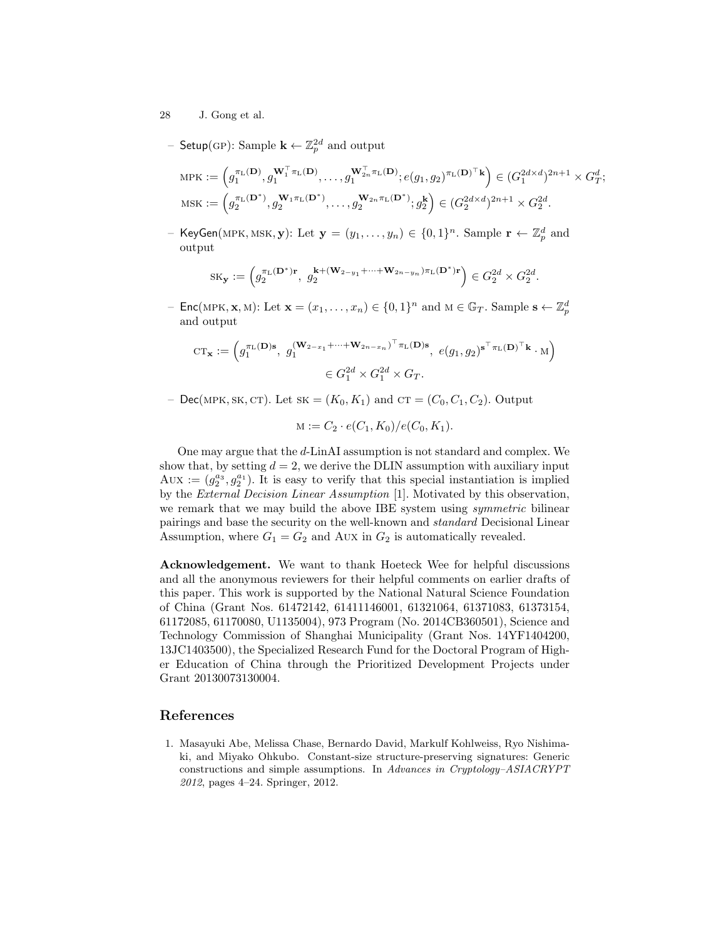- 28 J. Gong et al.
	- Setup(GP): Sample  $\mathbf{k} \leftarrow \mathbb{Z}_p^{2d}$  and output

$$
\begin{split} \text{MFK} &:= \Big(g_1^{\pi_{\text{L}}(\mathbf{D})}, g_1^{\mathbf{W}_1^{\top}\pi_{\text{L}}(\mathbf{D})}, \dots, g_1^{\mathbf{W}_{2n}^{\top}\pi_{\text{L}}(\mathbf{D})}; e(g_1, g_2)^{\pi_{\text{L}}(\mathbf{D})^{\top}\mathbf{k}}\Big) \in (G_1^{2d \times d})^{2n+1} \times G_T^d; \\ \text{MSK} &:= \Big(g_2^{\pi_{\text{L}}(\mathbf{D}^*)}, g_2^{\mathbf{W}_1\pi_{\text{L}}(\mathbf{D}^*)}, \dots, g_2^{\mathbf{W}_{2n}\pi_{\text{L}}(\mathbf{D}^*)}; g_2^{\mathbf{k}}\Big) \in (G_2^{2d \times d})^{2n+1} \times G_2^{2d}. \end{split}
$$

- KeyGen(MPK, MSK, **y**): Let  $\mathbf{y} = (y_1, \ldots, y_n) \in \{0, 1\}^n$ . Sample  $\mathbf{r} \leftarrow \mathbb{Z}_p^d$  and output

$$
\mathrm{SK}_{\mathbf{y}}:=\left(g_2^{\pi_{\mathbf{L}}(\mathbf{D}^*)\mathbf{r}},\,\,g_2^{\mathbf{k}+(\mathbf{W}_{2-y_1}+\cdots+\mathbf{W}_{2n-y_n})\pi_{\mathbf{L}}(\mathbf{D}^*)\mathbf{r}}\right)\in G_2^{2d}\times G_2^{2d}.
$$

- Enc(MPK, **x**, M): Let  $\mathbf{x} = (x_1, \dots, x_n) \in \{0, 1\}^n$  and  $M \in \mathbb{G}_T$ . Sample  $\mathbf{s} \leftarrow \mathbb{Z}_p^d$ and output

$$
CT_{\mathbf{x}} := \left(g_1^{\pi_L(\mathbf{D})\mathbf{s}}, g_1^{(\mathbf{W}_{2-x_1} + \dots + \mathbf{W}_{2n-x_n})^\top \pi_L(\mathbf{D})\mathbf{s}}, e(g_1, g_2)^{\mathbf{s}^\top \pi_L(\mathbf{D})^\top \mathbf{k}} \cdot M\right)
$$
  

$$
\in G_1^{2d} \times G_1^{2d} \times G_T.
$$

– Dec(MPK, SK, CT). Let  $SK = (K_0, K_1)$  and  $CT = (C_0, C_1, C_2)$ . Output

$$
M := C_2 \cdot e(C_1, K_0) / e(C_0, K_1).
$$

One may argue that the d-LinAI assumption is not standard and complex. We show that, by setting  $d = 2$ , we derive the DLIN assumption with auxiliary input Aux :=  $(g_2^{a_3}, g_2^{a_1})$ . It is easy to verify that this special instantiation is implied by the External Decision Linear Assumption [1]. Motivated by this observation, we remark that we may build the above IBE system using *symmetric* bilinear pairings and base the security on the well-known and standard Decisional Linear Assumption, where  $G_1 = G_2$  and Aux in  $G_2$  is automatically revealed.

Acknowledgement. We want to thank Hoeteck Wee for helpful discussions and all the anonymous reviewers for their helpful comments on earlier drafts of this paper. This work is supported by the National Natural Science Foundation of China (Grant Nos. 61472142, 61411146001, 61321064, 61371083, 61373154, 61172085, 61170080, U1135004), 973 Program (No. 2014CB360501), Science and Technology Commission of Shanghai Municipality (Grant Nos. 14YF1404200, 13JC1403500), the Specialized Research Fund for the Doctoral Program of Higher Education of China through the Prioritized Development Projects under Grant 20130073130004.

### References

1. Masayuki Abe, Melissa Chase, Bernardo David, Markulf Kohlweiss, Ryo Nishimaki, and Miyako Ohkubo. Constant-size structure-preserving signatures: Generic constructions and simple assumptions. In Advances in Cryptology–ASIACRYPT 2012, pages 4–24. Springer, 2012.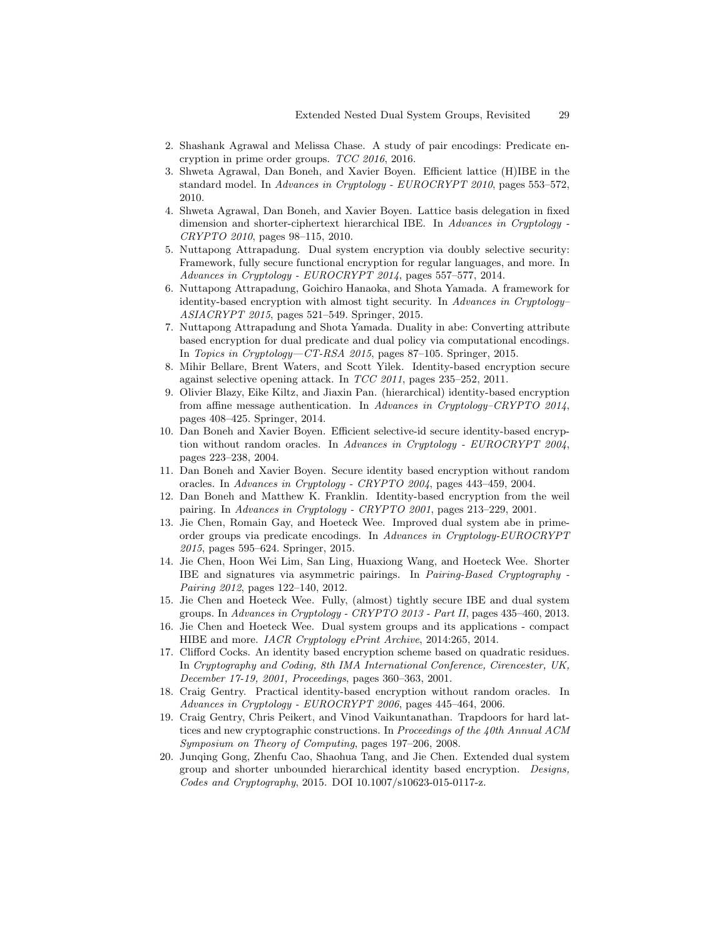- 2. Shashank Agrawal and Melissa Chase. A study of pair encodings: Predicate encryption in prime order groups. TCC 2016, 2016.
- 3. Shweta Agrawal, Dan Boneh, and Xavier Boyen. Efficient lattice (H)IBE in the standard model. In Advances in Cryptology - EUROCRYPT 2010, pages 553–572, 2010.
- 4. Shweta Agrawal, Dan Boneh, and Xavier Boyen. Lattice basis delegation in fixed dimension and shorter-ciphertext hierarchical IBE. In Advances in Cryptology - CRYPTO 2010, pages 98–115, 2010.
- 5. Nuttapong Attrapadung. Dual system encryption via doubly selective security: Framework, fully secure functional encryption for regular languages, and more. In Advances in Cryptology - EUROCRYPT 2014, pages 557–577, 2014.
- 6. Nuttapong Attrapadung, Goichiro Hanaoka, and Shota Yamada. A framework for identity-based encryption with almost tight security. In Advances in Cryptology– ASIACRYPT 2015, pages 521–549. Springer, 2015.
- 7. Nuttapong Attrapadung and Shota Yamada. Duality in abe: Converting attribute based encryption for dual predicate and dual policy via computational encodings. In Topics in Cryptology—CT-RSA 2015, pages 87–105. Springer, 2015.
- 8. Mihir Bellare, Brent Waters, and Scott Yilek. Identity-based encryption secure against selective opening attack. In TCC 2011, pages 235–252, 2011.
- 9. Olivier Blazy, Eike Kiltz, and Jiaxin Pan. (hierarchical) identity-based encryption from affine message authentication. In Advances in Cryptology–CRYPTO 2014, pages 408–425. Springer, 2014.
- 10. Dan Boneh and Xavier Boyen. Efficient selective-id secure identity-based encryption without random oracles. In Advances in Cryptology - EUROCRYPT 2004, pages 223–238, 2004.
- 11. Dan Boneh and Xavier Boyen. Secure identity based encryption without random oracles. In Advances in Cryptology - CRYPTO 2004, pages 443–459, 2004.
- 12. Dan Boneh and Matthew K. Franklin. Identity-based encryption from the weil pairing. In Advances in Cryptology - CRYPTO 2001, pages 213–229, 2001.
- 13. Jie Chen, Romain Gay, and Hoeteck Wee. Improved dual system abe in primeorder groups via predicate encodings. In Advances in Cryptology-EUROCRYPT 2015, pages 595–624. Springer, 2015.
- 14. Jie Chen, Hoon Wei Lim, San Ling, Huaxiong Wang, and Hoeteck Wee. Shorter IBE and signatures via asymmetric pairings. In Pairing-Based Cryptography - Pairing 2012, pages 122–140, 2012.
- 15. Jie Chen and Hoeteck Wee. Fully, (almost) tightly secure IBE and dual system groups. In Advances in Cryptology - CRYPTO 2013 - Part II, pages 435–460, 2013.
- 16. Jie Chen and Hoeteck Wee. Dual system groups and its applications compact HIBE and more. IACR Cryptology ePrint Archive, 2014:265, 2014.
- 17. Clifford Cocks. An identity based encryption scheme based on quadratic residues. In Cryptography and Coding, 8th IMA International Conference, Cirencester, UK, December 17-19, 2001, Proceedings, pages 360–363, 2001.
- 18. Craig Gentry. Practical identity-based encryption without random oracles. In Advances in Cryptology - EUROCRYPT 2006, pages 445–464, 2006.
- 19. Craig Gentry, Chris Peikert, and Vinod Vaikuntanathan. Trapdoors for hard lattices and new cryptographic constructions. In Proceedings of the 40th Annual ACM Symposium on Theory of Computing, pages 197–206, 2008.
- 20. Junqing Gong, Zhenfu Cao, Shaohua Tang, and Jie Chen. Extended dual system group and shorter unbounded hierarchical identity based encryption. Designs, Codes and Cryptography, 2015. DOI 10.1007/s10623-015-0117-z.